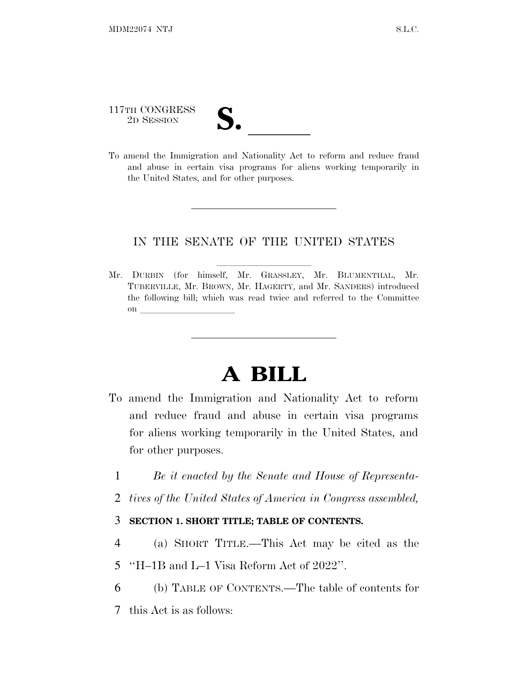117TH CONGRESS 117TH CONGRESS<br>
2D SESSION<br>
To amend the Immigration and Nationality Act to reform and reduce fraud

and abuse in certain visa programs for aliens working temporarily in the United States, and for other purposes.

## IN THE SENATE OF THE UNITED STATES

Mr. DURBIN (for himself, Mr. GRASSLEY, Mr. BLUMENTHAL, Mr. TUBERVILLE, Mr. BROWN, Mr. HAGERTY, and Mr. SANDERS) introduced the following bill; which was read twice and referred to the Committee on  $\overline{\qquad \qquad }$ 

# **A BILL**

- To amend the Immigration and Nationality Act to reform and reduce fraud and abuse in certain visa programs for aliens working temporarily in the United States, and for other purposes.
	- 1 *Be it enacted by the Senate and House of Representa-*
	- 2 *tives of the United States of America in Congress assembled,*

## 3 **SECTION 1. SHORT TITLE; TABLE OF CONTENTS.**

- 4 (a) SHORT TITLE.—This Act may be cited as the
- 5 ''H–1B and L–1 Visa Reform Act of 2022''.
- 6 (b) TABLE OF CONTENTS.—The table of contents for
- 7 this Act is as follows: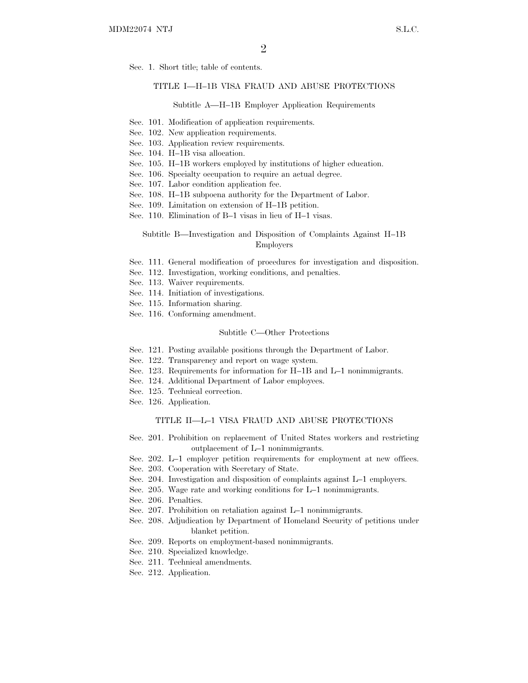Sec. 1. Short title; table of contents.

#### TITLE I—H–1B VISA FRAUD AND ABUSE PROTECTIONS

#### Subtitle A—H–1B Employer Application Requirements

- Sec. 101. Modification of application requirements.
- Sec. 102. New application requirements.
- Sec. 103. Application review requirements.
- Sec. 104. H–1B visa allocation.
- Sec. 105. H–1B workers employed by institutions of higher education.
- Sec. 106. Specialty occupation to require an actual degree.
- Sec. 107. Labor condition application fee.
- Sec. 108. H–1B subpoena authority for the Department of Labor.
- Sec. 109. Limitation on extension of H–1B petition.
- Sec. 110. Elimination of B–1 visas in lieu of H–1 visas.

#### Subtitle B—Investigation and Disposition of Complaints Against H–1B Employers

- Sec. 111. General modification of procedures for investigation and disposition.
- Sec. 112. Investigation, working conditions, and penalties.
- Sec. 113. Waiver requirements.
- Sec. 114. Initiation of investigations.
- Sec. 115. Information sharing.
- Sec. 116. Conforming amendment.

#### Subtitle C—Other Protections

- Sec. 121. Posting available positions through the Department of Labor.
- Sec. 122. Transparency and report on wage system.
- Sec. 123. Requirements for information for H–1B and L–1 nonimmigrants.
- Sec. 124. Additional Department of Labor employees.
- Sec. 125. Technical correction.
- Sec. 126. Application.

#### TITLE II—L–1 VISA FRAUD AND ABUSE PROTECTIONS

- Sec. 201. Prohibition on replacement of United States workers and restricting outplacement of L–1 nonimmigrants.
- Sec. 202. L–1 employer petition requirements for employment at new offices.
- Sec. 203. Cooperation with Secretary of State.
- Sec. 204. Investigation and disposition of complaints against L–1 employers.
- Sec. 205. Wage rate and working conditions for L–1 nonimmigrants.
- Sec. 206. Penalties.
- Sec. 207. Prohibition on retaliation against L–1 nonimmigrants.
- Sec. 208. Adjudication by Department of Homeland Security of petitions under blanket petition.
- Sec. 209. Reports on employment-based nonimmigrants.
- Sec. 210. Specialized knowledge.
- Sec. 211. Technical amendments.
- Sec. 212. Application.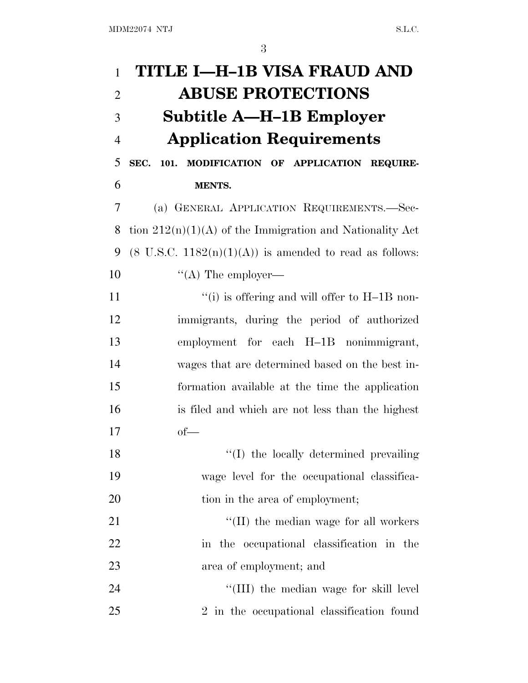| $\mathbf{1}$   | TITLE I—H-1B VISA FRAUD AND                                        |
|----------------|--------------------------------------------------------------------|
| $\overline{2}$ | <b>ABUSE PROTECTIONS</b>                                           |
| 3              | Subtitle A—H–1B Employer                                           |
| $\overline{4}$ | <b>Application Requirements</b>                                    |
| 5              | SEC. 101. MODIFICATION OF APPLICATION REQUIRE-                     |
| 6              | <b>MENTS.</b>                                                      |
| 7              | (a) GENERAL APPLICATION REQUIREMENTS.-Sec-                         |
| 8              | tion $212(n)(1)(A)$ of the Immigration and Nationality Act         |
| 9              | $(8 \text{ U.S.C. } 1182(n)(1)(A))$ is amended to read as follows: |
| 10             | $\lq\lq$ The employer—                                             |
| 11             | "(i) is offering and will offer to $H-1B$ non-                     |
| 12             | immigrants, during the period of authorized                        |
| 13             | employment for each H-1B nonimmigrant,                             |
| 14             | wages that are determined based on the best in-                    |
| 15             | formation available at the time the application                    |
| 16             | is filed and which are not less than the highest                   |
| 17             | of                                                                 |
| 18             | "(I) the locally determined prevailing                             |
| 19             | wage level for the occupational classifica-                        |
| 20             | tion in the area of employment;                                    |
| 21             | $\lq$ (II) the median wage for all workers                         |
| 22             | in the occupational classification in the                          |
| 23             | area of employment; and                                            |
| 24             | "(III) the median wage for skill level                             |
| 25             | 2 in the occupational classification found                         |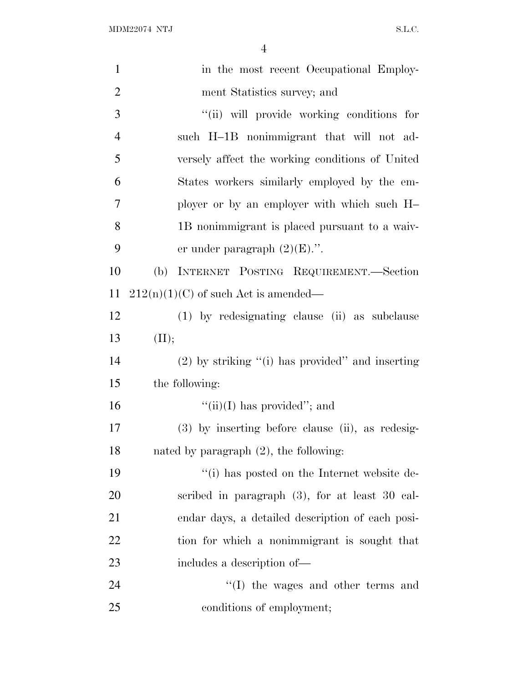| $\mathbf{1}$   | in the most recent Occupational Employ-               |
|----------------|-------------------------------------------------------|
| $\overline{2}$ | ment Statistics survey; and                           |
| 3              | "(ii) will provide working conditions for             |
| $\overline{4}$ | such H-1B nonimmigrant that will not ad-              |
| 5              | versely affect the working conditions of United       |
| 6              | States workers similarly employed by the em-          |
| 7              | ployer or by an employer with which such H-           |
| 8              | 1B nonimmigrant is placed pursuant to a waiv-         |
| 9              | er under paragraph $(2)(E)$ .".                       |
| 10             | INTERNET POSTING REQUIREMENT.-Section<br>(b)          |
| 11             | $212(n)(1)(C)$ of such Act is amended—                |
| 12             | (1) by redesignating clause (ii) as subclause         |
| 13             | (II);                                                 |
| 14             | $(2)$ by striking " $(i)$ has provided" and inserting |
| 15             | the following:                                        |
| 16             | $``(ii)(I)$ has provided"; and                        |
| 17             | (3) by inserting before clause (ii), as redesig-      |
| 18             | nated by paragraph $(2)$ , the following:             |
| 19             | "(i) has posted on the Internet website de-           |
| 20             | scribed in paragraph $(3)$ , for at least 30 cal-     |
| 21             | endar days, a detailed description of each posi-      |
| 22             | tion for which a nonimmigrant is sought that          |
| 23             | includes a description of—                            |
| 24             | $\lq\lq$ (I) the wages and other terms and            |
| 25             | conditions of employment;                             |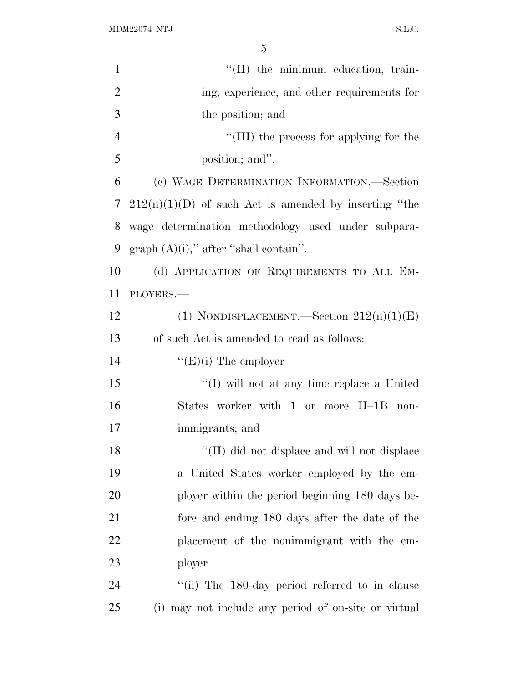| $\mathbf{1}$   | "(II) the minimum education, train-                     |
|----------------|---------------------------------------------------------|
| $\overline{2}$ | ing, experience, and other requirements for             |
| 3              | the position; and                                       |
| $\overline{4}$ | "(III) the process for applying for the                 |
| 5              | position; and".                                         |
| 6              | (c) WAGE DETERMINATION INFORMATION.—Section             |
| 7              | $212(n)(1)(D)$ of such Act is amended by inserting "the |
| 8              | wage determination methodology used under subpara-      |
| 9              | graph $(A)(i)$ ," after "shall contain".                |
| 10             | (d) APPLICATION OF REQUIREMENTS TO ALL EM-              |
| 11             | PLOYERS.                                                |
| 12             | (1) NONDISPLACEMENT.—Section $212(n)(1)(E)$             |
| 13             | of such Act is amended to read as follows:              |
| 14             | " $(E)(i)$ The employer—                                |
| 15             | "(I) will not at any time replace a United              |
| 16             | States worker with 1 or more H-1B non-                  |
| 17             | immigrants; and                                         |
| 18             | "(II) did not displace and will not displace            |
| 19             | a United States worker employed by the em-              |
| 20             | ployer within the period beginning 180 days be-         |
| 21             | fore and ending 180 days after the date of the          |
| 22             | placement of the nonimmigrant with the em-              |
| 23             | ployer.                                                 |
| 24             | "(ii) The 180-day period referred to in clause          |
| 25             | (i) may not include any period of on-site or virtual    |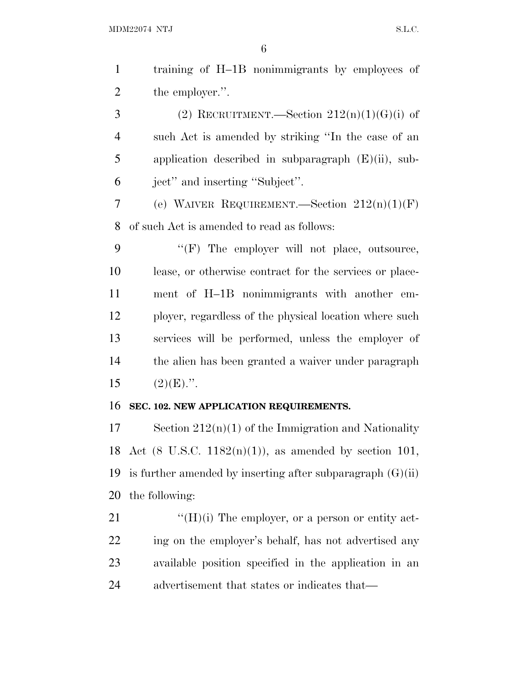| $\mathbf{1}$   | training of H-1B nonimmigrants by employees of                       |
|----------------|----------------------------------------------------------------------|
| $\overline{2}$ | the employer.".                                                      |
| 3              | (2) RECRUITMENT.—Section $212(n)(1)(G)(i)$ of                        |
| $\overline{4}$ | such Act is amended by striking "In the case of an                   |
| 5              | application described in subparagraph $(E)(ii)$ , sub-               |
| 6              | ject" and inserting "Subject".                                       |
| 7              | (e) WAIVER REQUIREMENT.—Section $212(n)(1)(F)$                       |
| 8              | of such Act is amended to read as follows:                           |
| 9              | "(F) The employer will not place, outsource,                         |
| 10             | lease, or otherwise contract for the services or place-              |
| 11             | ment of H-1B nonimmigrants with another em-                          |
| 12             | ployer, regardless of the physical location where such               |
| 13             | services will be performed, unless the employer of                   |
| 14             | the alien has been granted a waiver under paragraph                  |
| 15             | $(2)(E)$ .".                                                         |
| 16             | SEC. 102. NEW APPLICATION REQUIREMENTS.                              |
| 17             | Section $212(n)(1)$ of the Immigration and Nationality               |
|                | 18 Act $(8 \text{ U.S.C. } 1182(n)(1))$ , as amended by section 101, |
| 19             | is further amended by inserting after subparagraph $(G)(ii)$         |
| 20             | the following:                                                       |
| 21             | $\lq\lq(H)(i)$ The employer, or a person or entity act-              |
| 22             | ing on the employer's behalf, has not advertised any                 |
| 23             | available position specified in the application in an                |
| 24             | advertisement that states or indicates that—                         |
|                |                                                                      |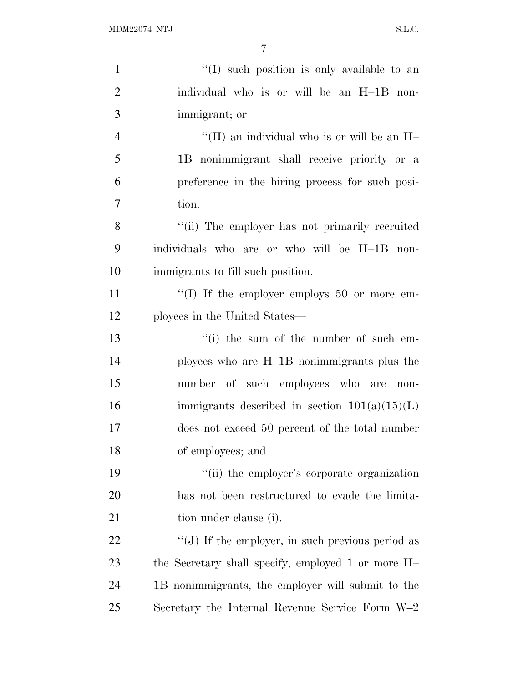| $\mathbf{1}$   | "(I) such position is only available to an          |
|----------------|-----------------------------------------------------|
| $\overline{2}$ | individual who is or will be an H-1B non-           |
| 3              | immigrant; or                                       |
| $\overline{4}$ | "(II) an individual who is or will be an $H-$       |
| 5              | 1B nonimmigrant shall receive priority or a         |
| 6              | preference in the hiring process for such posi-     |
| 7              | tion.                                               |
| 8              | "(ii) The employer has not primarily recruited      |
| 9              | individuals who are or who will be H-1B non-        |
| 10             | immigrants to fill such position.                   |
| 11             | "(I) If the employer employs 50 or more em-         |
| 12             | ployees in the United States—                       |
| 13             | "(i) the sum of the number of such em-              |
| 14             | ployees who are H-1B nonimmigrants plus the         |
| 15             | number of such employees who are<br>$non-$          |
| 16             | immigrants described in section $101(a)(15)(L)$     |
| 17             | does not exceed 50 percent of the total number      |
| 18             | of employees; and                                   |
| 19             | "(ii) the employer's corporate organization         |
| 20             | has not been restructured to evade the limita-      |
| 21             | tion under clause (i).                              |
| 22             | " $(J)$ If the employer, in such previous period as |
| 23             | the Secretary shall specify, employed 1 or more H-  |
| 24             | 1B nonimmigrants, the employer will submit to the   |
| 25             | Secretary the Internal Revenue Service Form W-2     |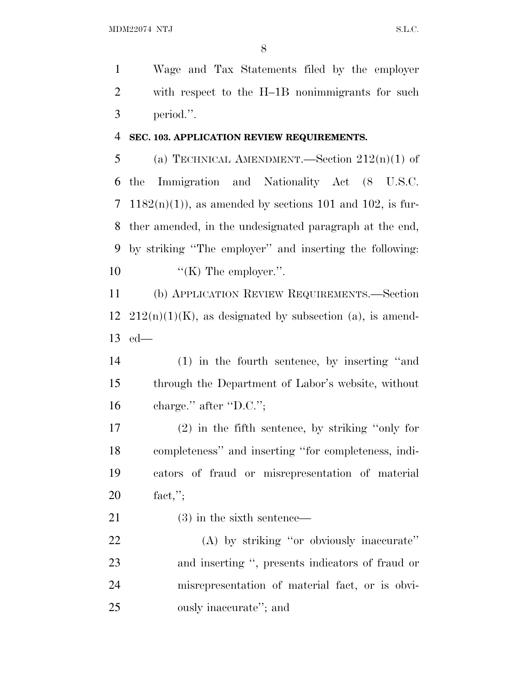Wage and Tax Statements filed by the employer with respect to the H–1B nonimmigrants for such period.''.

#### **SEC. 103. APPLICATION REVIEW REQUIREMENTS.**

5 (a) TECHNICAL AMENDMENT.—Section  $212(n)(1)$  of the Immigration and Nationality Act (8 U.S.C. 7 1182 $(n)(1)$ , as amended by sections 101 and 102, is fur- ther amended, in the undesignated paragraph at the end, by striking ''The employer'' and inserting the following:  $\text{``(K)}$  The employer.".

 (b) APPLICATION REVIEW REQUIREMENTS.—Section  $12 \quad 212(n)(1)(K)$ , as designated by subsection (a), is amend-ed—

 (1) in the fourth sentence, by inserting ''and through the Department of Labor's website, without 16 charge." after "D.C.";

 (2) in the fifth sentence, by striking ''only for completeness'' and inserting ''for completeness, indi- cators of fraud or misrepresentation of material fact,'';

21 (3) in the sixth sentence—

 (A) by striking ''or obviously inaccurate'' and inserting '', presents indicators of fraud or misrepresentation of material fact, or is obvi-ously inaccurate''; and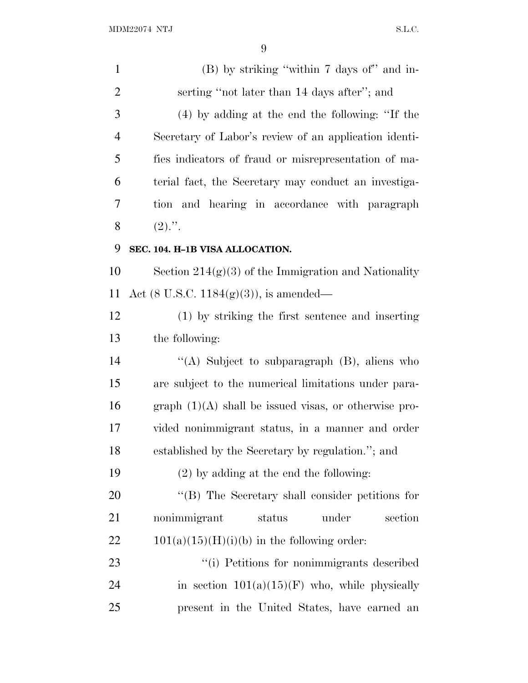| $\mathbf{1}$   | (B) by striking "within 7 days of" and in-              |
|----------------|---------------------------------------------------------|
| $\overline{c}$ | serting "not later than 14 days after"; and             |
| 3              | (4) by adding at the end the following: "If the         |
| $\overline{4}$ | Secretary of Labor's review of an application identi-   |
| 5              | fies indicators of fraud or misrepresentation of ma-    |
| 6              | terial fact, the Secretary may conduct an investiga-    |
| 7              | tion and hearing in accordance with paragraph           |
| 8              | $(2)$ .".                                               |
| 9              | SEC. 104. H-1B VISA ALLOCATION.                         |
| 10             | Section $214(g)(3)$ of the Immigration and Nationality  |
| 11             | Act $(8 \text{ U.S.C. } 1184(g)(3))$ , is amended—      |
| 12             | (1) by striking the first sentence and inserting        |
| 13             | the following:                                          |
| 14             | "(A) Subject to subparagraph $(B)$ , aliens who         |
| 15             | are subject to the numerical limitations under para-    |
| 16             | graph $(1)(A)$ shall be issued visas, or otherwise pro- |
| 17             | vided nonimmigrant status, in a manner and order        |
| 18             | established by the Secretary by regulation."; and       |
| 19             | $(2)$ by adding at the end the following:               |
| 20             | "(B) The Secretary shall consider petitions for         |
| 21             | nonimmigrant<br>under<br>section<br>status              |
| 22             | $101(a)(15)(H)(i)(b)$ in the following order:           |
| 23             | "(i) Petitions for nonimmigrants described              |
| 24             | in section $101(a)(15)(F)$ who, while physically        |
| 25             | present in the United States, have earned an            |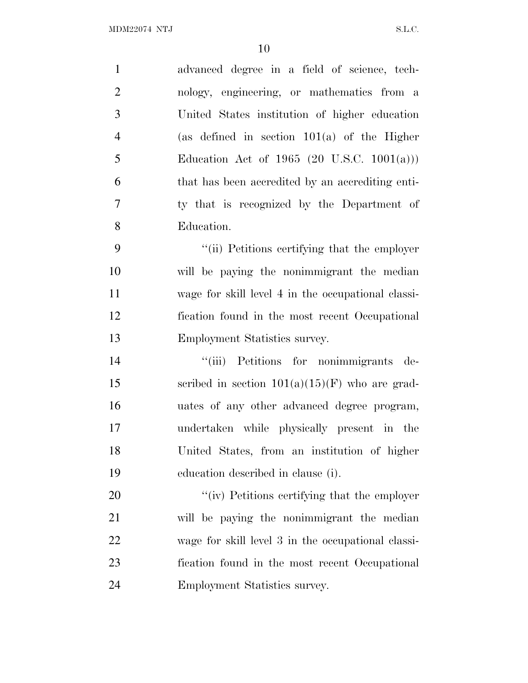| $\mathbf{1}$     | advanced degree in a field of science, tech-       |
|------------------|----------------------------------------------------|
| $\overline{2}$   | nology, engineering, or mathematics from a         |
| 3                | United States institution of higher education      |
| $\overline{4}$   | (as defined in section $101(a)$ of the Higher      |
| 5                | Education Act of 1965 (20 U.S.C. 1001(a)))         |
| 6                | that has been accredited by an accrediting enti-   |
| $\boldsymbol{7}$ | ty that is recognized by the Department of         |
| 8                | Education.                                         |
| 9                | "(ii) Petitions certifying that the employer       |
| 10               | will be paying the nonimmigrant the median         |
| 11               | wage for skill level 4 in the occupational classi- |
| 12               | fication found in the most recent Occupational     |
| 13               | Employment Statistics survey.                      |
| 14               | "(iii) Petitions for nonimmigrants de-             |
| 15               | scribed in section $101(a)(15)(F)$ who are grad-   |
| 16               | uates of any other advanced degree program,        |
| 17               | undertaken while physically present in the         |
| 18               | United States, from an institution of higher       |
| 19               | education described in clause (i).                 |
| 20               | "(iv) Petitions certifying that the employer       |
| 21               | will be paying the nonimmigrant the median         |
| 22               | wage for skill level 3 in the occupational classi- |
| 23               | fication found in the most recent Occupational     |
| 24               | Employment Statistics survey.                      |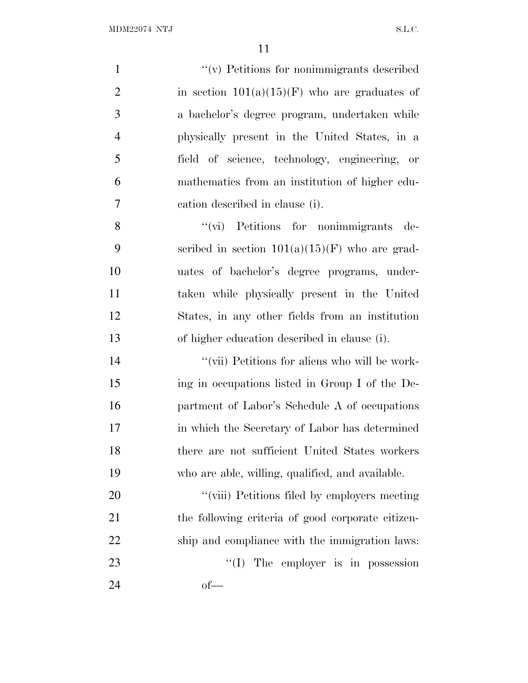| $\mathbf{1}$   | "(v) Petitions for nonimmigrants described        |
|----------------|---------------------------------------------------|
| $\overline{2}$ | in section $101(a)(15)(F)$ who are graduates of   |
| 3              | a bachelor's degree program, undertaken while     |
| $\overline{4}$ | physically present in the United States, in a     |
| 5              | field of science, technology, engineering, or     |
| 6              | mathematics from an institution of higher edu-    |
| 7              | cation described in clause (i).                   |
| 8              | "(vi) Petitions for nonimmigrants de-             |
| 9              | scribed in section $101(a)(15)(F)$ who are grad-  |
| 10             | uates of bachelor's degree programs, under-       |
| 11             | taken while physically present in the United      |
| 12             | States, in any other fields from an institution   |
| 13             | of higher education described in clause (i).      |
| 14             | "(vii) Petitions for aliens who will be work-     |
| 15             | ing in occupations listed in Group I of the De-   |
| 16             | partment of Labor's Schedule A of occupations     |
| 17             | in which the Secretary of Labor has determined    |
| 18             | there are not sufficient United States workers    |
| 19             | who are able, willing, qualified, and available.  |
| 20             | "(viii) Petitions filed by employers meeting      |
| 21             | the following criteria of good corporate citizen- |
| 22             | ship and compliance with the immigration laws:    |
| 23             | ``(I)<br>The employer is in possession            |
| 24             | $of$ —                                            |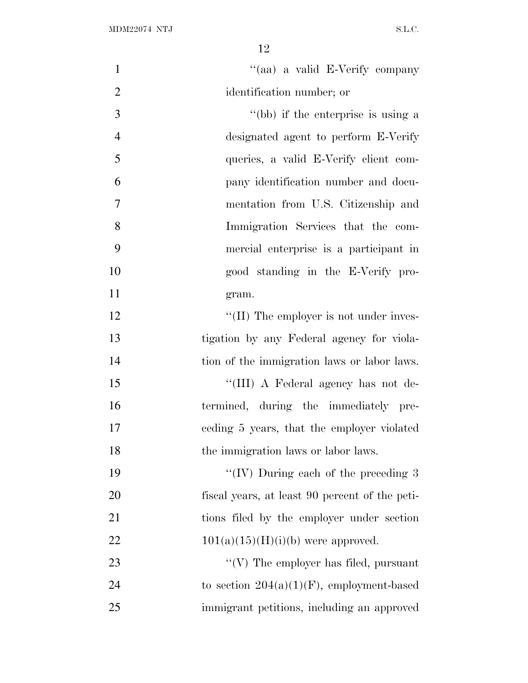| $\mathbf{1}$   | "(aa) a valid E-Verify company                 |
|----------------|------------------------------------------------|
| $\overline{2}$ | identification number; or                      |
| 3              | "(bb) if the enterprise is using a             |
| $\overline{4}$ | designated agent to perform E-Verify           |
| 5              | queries, a valid E-Verify client com-          |
| 6              | pany identification number and docu-           |
| $\tau$         | mentation from U.S. Citizenship and            |
| 8              | Immigration Services that the com-             |
| 9              | mercial enterprise is a participant in         |
| 10             | good standing in the E-Verify pro-             |
| 11             | gram.                                          |
| 12             | $\lq\lq$ (II) The employer is not under inves- |
| 13             | tigation by any Federal agency for viola-      |
| 14             | tion of the immigration laws or labor laws.    |
| 15             | "(III) A Federal agency has not de-            |
| 16             | termined, during the immediately pre-          |
| 17             | eeding 5 years, that the employer violated     |
| 18             | the immigration laws or labor laws.            |
| 19             | "(IV) During each of the preceding $3$         |
| 20             | fiscal years, at least 90 percent of the peti- |
| 21             | tions filed by the employer under section      |
| 22             | $101(a)(15)(H)(i)(b)$ were approved.           |
| 23             | "(V) The employer has filed, pursuant          |
| 24             | to section $204(a)(1)(F)$ , employment-based   |
| 25             | immigrant petitions, including an approved     |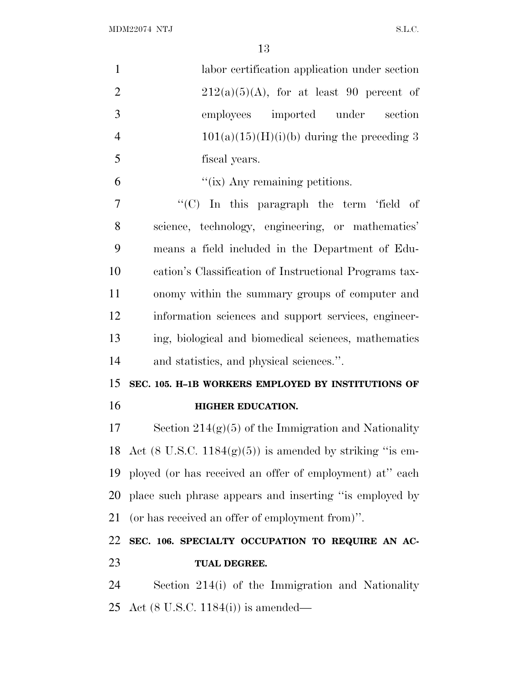$\rm MDM22074\,\,\,NTJ \,\,\, S.L.C.$ 

| $\mathbf{1}$   | labor certification application under section                          |
|----------------|------------------------------------------------------------------------|
| $\overline{2}$ | $212(a)(5)(A)$ , for at least 90 percent of                            |
| 3              | employees imported under section                                       |
| $\overline{4}$ | $101(a)(15)(H)(i)(b)$ during the preceding 3                           |
| 5              | fiscal years.                                                          |
| 6              | "(ix) Any remaining petitions.                                         |
| 7              | "(C) In this paragraph the term 'field of                              |
| 8              | science, technology, engineering, or mathematics'                      |
| 9              | means a field included in the Department of Edu-                       |
| 10             | cation's Classification of Instructional Programs tax-                 |
| 11             | onomy within the summary groups of computer and                        |
| 12             | information sciences and support services, engineer-                   |
| 13             | ing, biological and biomedical sciences, mathematics                   |
| 14             | and statistics, and physical sciences.".                               |
| 15             | SEC. 105. H-1B WORKERS EMPLOYED BY INSTITUTIONS OF                     |
| 16             | <b>HIGHER EDUCATION.</b>                                               |
| 17             | Section $214(g)(5)$ of the Immigration and Nationality                 |
|                | 18 Act $(8 \text{ U.S.C. } 1184(g)(5))$ is amended by striking "is em- |
| 19             | ployed (or has received an offer of employment) at" each               |
| 20             | place such phrase appears and inserting "is employed by                |
| 21             | (or has received an offer of employment from)".                        |
| 22             | SEC. 106. SPECIALTY OCCUPATION TO REQUIRE AN AC-                       |
| 23             | TUAL DEGREE.                                                           |
| 24             | Section 214(i) of the Immigration and Nationality                      |
|                | 25 Act $(8 \text{ U.S.C. } 1184(i))$ is amended—                       |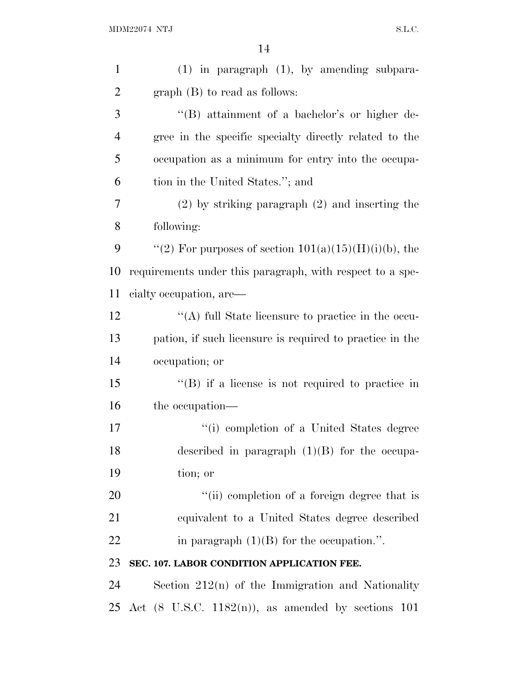| $\mathbf{1}$   | $(1)$ in paragraph $(1)$ , by amending subpara-                |
|----------------|----------------------------------------------------------------|
| $\overline{2}$ | $graph(B)$ to read as follows:                                 |
| 3              | "(B) attainment of a bachelor's or higher de-                  |
| $\overline{4}$ | gree in the specific specialty directly related to the         |
| 5              | occupation as a minimum for entry into the occupa-             |
| 6              | tion in the United States."; and                               |
| 7              | $(2)$ by striking paragraph $(2)$ and inserting the            |
| 8              | following:                                                     |
| 9              | "(2) For purposes of section $101(a)(15)(H)(i)(b)$ , the       |
| 10             | requirements under this paragraph, with respect to a spe-      |
| 11             | eialty occupation, are—                                        |
| 12             | "(A) full State licensure to practice in the occu-             |
| 13             | pation, if such licensure is required to practice in the       |
| 14             | occupation; or                                                 |
| 15             | $\lq$ (B) if a license is not required to practice in          |
| 16             | the occupation—                                                |
| 17             | "(i) completion of a United States degree                      |
| 18             | described in paragraph $(1)(B)$ for the occupa-                |
| 19             | tion; or                                                       |
| 20             | "(ii) completion of a foreign degree that is                   |
| 21             | equivalent to a United States degree described                 |
| 22             | in paragraph $(1)(B)$ for the occupation.".                    |
| 23             | SEC. 107. LABOR CONDITION APPLICATION FEE.                     |
| 24             | Section $212(n)$ of the Immigration and Nationality            |
| 25             | Act $(8 \text{ U.S.C. } 1182(n))$ , as amended by sections 101 |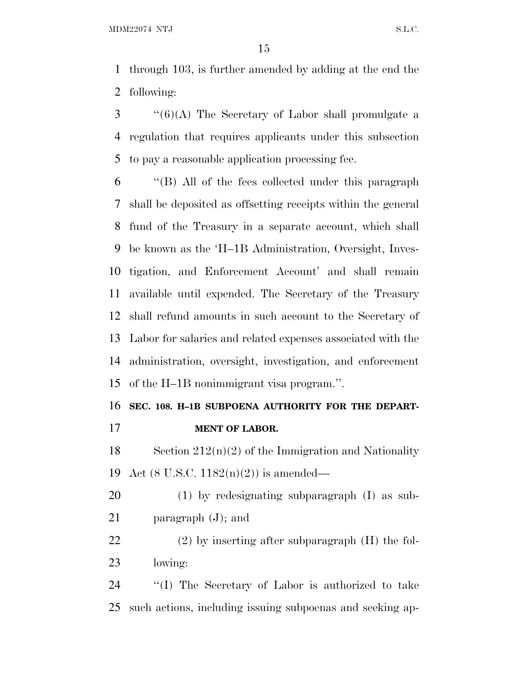through 103, is further amended by adding at the end the following:

 ''(6)(A) The Secretary of Labor shall promulgate a regulation that requires applicants under this subsection to pay a reasonable application processing fee.

 ''(B) All of the fees collected under this paragraph shall be deposited as offsetting receipts within the general fund of the Treasury in a separate account, which shall be known as the 'H–1B Administration, Oversight, Inves- tigation, and Enforcement Account' and shall remain available until expended. The Secretary of the Treasury shall refund amounts in such account to the Secretary of Labor for salaries and related expenses associated with the administration, oversight, investigation, and enforcement of the H–1B nonimmigrant visa program.''.

# **SEC. 108. H–1B SUBPOENA AUTHORITY FOR THE DEPART-**

**MENT OF LABOR.**

18 Section  $212(n)(2)$  of the Immigration and Nationality Act (8 U.S.C. 1182(n)(2)) is amended—

 (1) by redesignating subparagraph (I) as sub-paragraph (J); and

 (2) by inserting after subparagraph (H) the fol-lowing:

 ''(I) The Secretary of Labor is authorized to take such actions, including issuing subpoenas and seeking ap-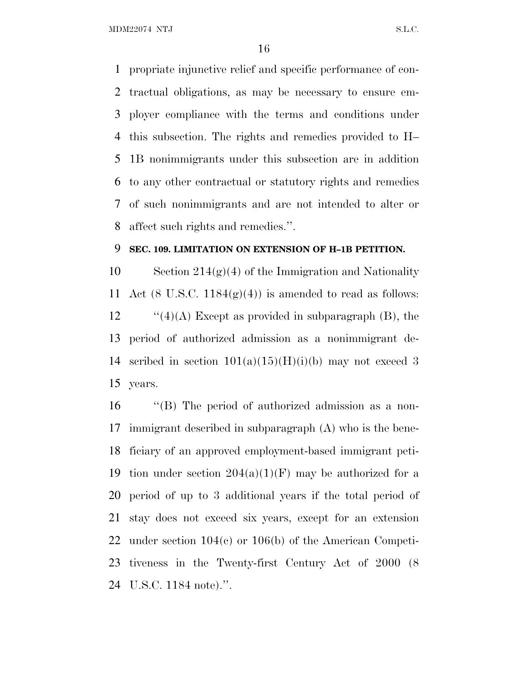propriate injunctive relief and specific performance of con- tractual obligations, as may be necessary to ensure em- ployer compliance with the terms and conditions under this subsection. The rights and remedies provided to H– 1B nonimmigrants under this subsection are in addition to any other contractual or statutory rights and remedies of such nonimmigrants and are not intended to alter or affect such rights and remedies.''.

### **SEC. 109. LIMITATION ON EXTENSION OF H–1B PETITION.**

10 Section  $214(g)(4)$  of the Immigration and Nationality 11 Act (8 U.S.C.  $1184(g)(4)$ ) is amended to read as follows: 12  $\frac{1}{2}$  (4)(A) Except as provided in subparagraph (B), the period of authorized admission as a nonimmigrant de-14 scribed in section  $101(a)(15)(H)(i)(b)$  may not exceed 3 years.

 ''(B) The period of authorized admission as a non- immigrant described in subparagraph (A) who is the bene- ficiary of an approved employment-based immigrant peti-19 tion under section  $204(a)(1)(F)$  may be authorized for a period of up to 3 additional years if the total period of stay does not exceed six years, except for an extension under section 104(c) or 106(b) of the American Competi- tiveness in the Twenty-first Century Act of 2000 (8 U.S.C. 1184 note).''.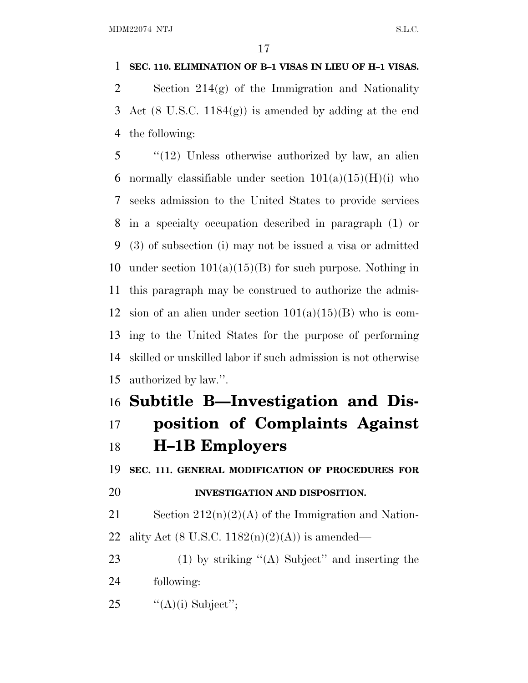## **SEC. 110. ELIMINATION OF B–1 VISAS IN LIEU OF H–1 VISAS.**

 Section 214(g) of the Immigration and Nationality Act (8 U.S.C. 1184(g)) is amended by adding at the end the following:

 ''(12) Unless otherwise authorized by law, an alien 6 normally classifiable under section  $101(a)(15)(H)(i)$  who seeks admission to the United States to provide services in a specialty occupation described in paragraph (1) or (3) of subsection (i) may not be issued a visa or admitted 10 under section  $101(a)(15)(B)$  for such purpose. Nothing in this paragraph may be construed to authorize the admis-12 sion of an alien under section  $101(a)(15)(B)$  who is com- ing to the United States for the purpose of performing skilled or unskilled labor if such admission is not otherwise authorized by law.''.

# **Subtitle B—Investigation and Dis-**

# **position of Complaints Against H–1B Employers**

**SEC. 111. GENERAL MODIFICATION OF PROCEDURES FOR**

# **INVESTIGATION AND DISPOSITION.**

21 Section  $212(n)(2)(A)$  of the Immigration and Nation-22 ality Act (8 U.S.C.  $1182(n)(2)(A)$ ) is amended—

 (1) by striking ''(A) Subject'' and inserting the following:

25  $\frac{((A)(i) \text{ Subject}'}{k!}$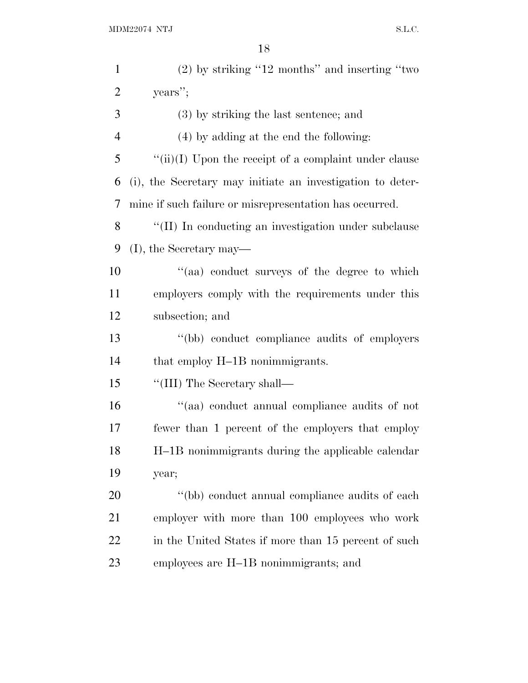| $\mathbf{1}$   | $(2)$ by striking "12 months" and inserting "two           |
|----------------|------------------------------------------------------------|
| $\overline{c}$ | years";                                                    |
| 3              | $(3)$ by striking the last sentence; and                   |
| $\overline{4}$ | (4) by adding at the end the following:                    |
| 5              | " $(iii)(I)$ Upon the receipt of a complaint under clause  |
| 6              | (i), the Secretary may initiate an investigation to deter- |
| 7              | mine if such failure or misrepresentation has occurred.    |
| 8              | "(II) In conducting an investigation under subclause       |
| 9              | $(I)$ , the Secretary may—                                 |
| 10             | "(aa) conduct surveys of the degree to which               |
| 11             | employers comply with the requirements under this          |
| 12             | subsection; and                                            |
| 13             | "(bb) conduct compliance audits of employers               |
| 14             | that employ H-1B nonimmigrants.                            |
| 15             | "(III) The Secretary shall—                                |
| 16             | "(aa) conduct annual compliance audits of not              |
| 17             | fewer than 1 percent of the employers that employ          |
| 18             | H-1B nonimmigrants during the applicable calendar          |
| 19             | year;                                                      |
| 20             | "(bb) conduct annual compliance audits of each             |
| 21             | employer with more than 100 employees who work             |
| 22             | in the United States if more than 15 percent of such       |
| 23             | employees are H-1B nonimmigrants; and                      |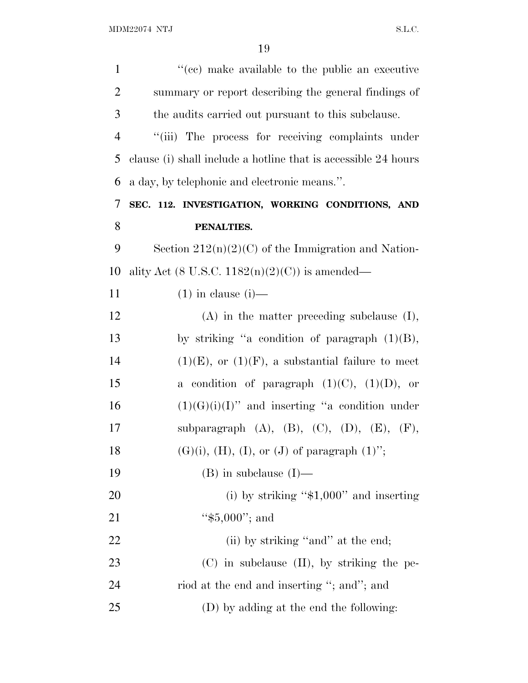| $\mathbf{1}$   | "(ee) make available to the public an executive                |
|----------------|----------------------------------------------------------------|
| $\overline{2}$ | summary or report describing the general findings of           |
| 3              | the audits carried out pursuant to this subclause.             |
| $\overline{4}$ | "(iii) The process for receiving complaints under              |
| 5              | clause (i) shall include a hotline that is accessible 24 hours |
| 6              | a day, by telephonic and electronic means.".                   |
| 7              | SEC. 112. INVESTIGATION, WORKING CONDITIONS, AND               |
| 8              | PENALTIES.                                                     |
| 9              | Section $212(n)(2)(C)$ of the Immigration and Nation-          |
| 10             | ality Act (8 U.S.C. $1182(n)(2)(C)$ ) is amended—              |
| 11             | $(1)$ in clause $(i)$ —                                        |
| 12             | $(A)$ in the matter preceding subclause $(I)$ ,                |
| 13             | by striking "a condition of paragraph $(1)(B)$ ,               |
| 14             | $(1)(E)$ , or $(1)(F)$ , a substantial failure to meet         |
| 15             | a condition of paragraph $(1)(C)$ , $(1)(D)$ , or              |
| 16             | $(1)(G)(i)(I)$ " and inserting "a condition under              |
| 17             | subparagraph $(A)$ , $(B)$ , $(C)$ , $(D)$ , $(E)$ , $(F)$ ,   |
| 18             | $(G)(i)$ , $(H)$ , $(I)$ , or $(J)$ of paragraph $(1)$ ";      |
| 19             | $(B)$ in subclause $(I)$ —                                     |
| 20             | (i) by striking " $$1,000"$ and inserting                      |
| 21             | " $$5,000$ "; and                                              |
| 22             | (ii) by striking "and" at the end;                             |
| 23             | (C) in subclause (II), by striking the pe-                     |
| 24             | riod at the end and inserting "; and"; and                     |
| 25             | (D) by adding at the end the following:                        |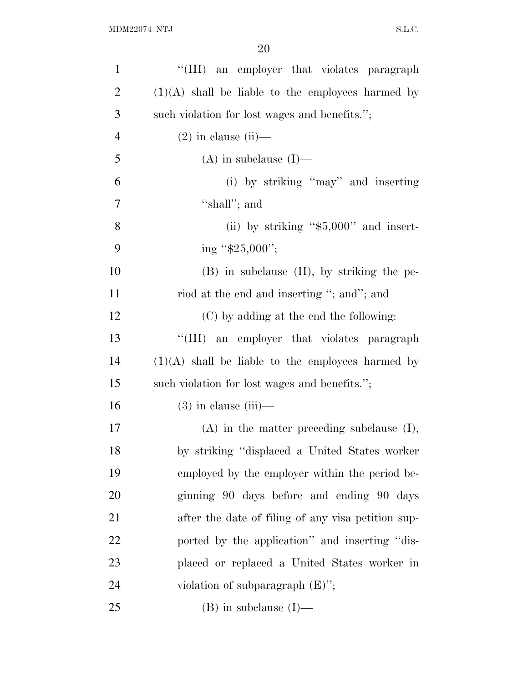| $\mathbf{1}$   | "(III) an employer that violates paragraph          |
|----------------|-----------------------------------------------------|
| $\overline{2}$ | $(1)(A)$ shall be liable to the employees harmed by |
| 3              | such violation for lost wages and benefits.";       |
| $\overline{4}$ | $(2)$ in clause (ii)—                               |
| 5              | $(A)$ in subclause $(I)$ —                          |
| 6              | (i) by striking "may" and inserting                 |
| 7              | "shall"; and                                        |
| 8              | (ii) by striking " $$5,000"$ and insert-            |
| 9              | ing " $$25,000$ ";                                  |
| 10             | $(B)$ in subclause $(II)$ , by striking the pe-     |
| 11             | riod at the end and inserting "; and"; and          |
| 12             | (C) by adding at the end the following:             |
| 13             | "(III) an employer that violates paragraph          |
| 14             | $(1)(A)$ shall be liable to the employees harmed by |
| 15             | such violation for lost wages and benefits.";       |
| 16             | $(3)$ in clause $(iii)$ —                           |
| 17             | $(A)$ in the matter preceding subclause $(I)$ ,     |
| 18             | by striking "displaced a United States worker       |
| 19             | employed by the employer within the period be-      |
| 20             | ginning 90 days before and ending 90 days           |
| 21             | after the date of filing of any visa petition sup-  |
| 22             | ported by the application" and inserting "dis-      |
| 23             | placed or replaced a United States worker in        |
| 24             | violation of subparagraph $(E)$ ";                  |
| 25             | $(B)$ in subclause $(I)$ —                          |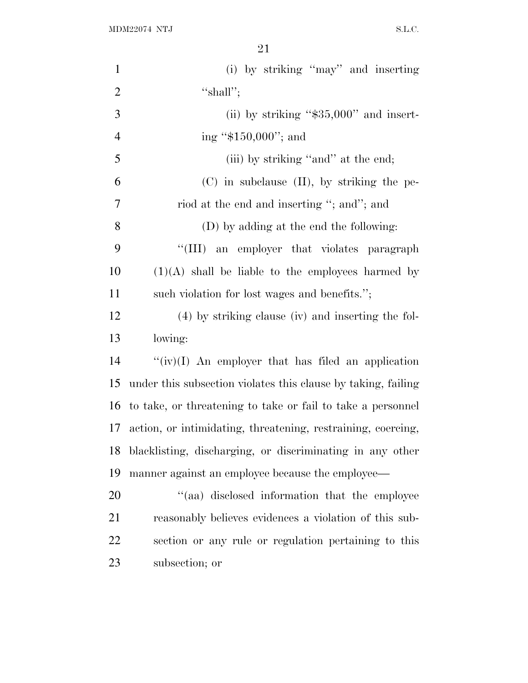$\rm MDM22074 \,\, NTJ \,\, S.L.C.$ 

| $\mathbf{1}$   | (i) by striking "may" and inserting                           |
|----------------|---------------------------------------------------------------|
| $\overline{2}$ | "shall";                                                      |
| 3              | (ii) by striking " $$35,000"$ and insert-                     |
| $\overline{4}$ | ing " $$150,000$ "; and                                       |
| 5              | (iii) by striking "and" at the end;                           |
| 6              | $(C)$ in subclause $(II)$ , by striking the pe-               |
| 7              | riod at the end and inserting "; and"; and                    |
| 8              | (D) by adding at the end the following:                       |
| 9              | "(III) an employer that violates paragraph                    |
| 10             | $(1)(A)$ shall be liable to the employees harmed by           |
| 11             | such violation for lost wages and benefits.";                 |
| 12             | (4) by striking clause (iv) and inserting the fol-            |
| 13             | lowing:                                                       |
| 14             | " $(iv)(I)$ An employer that has filed an application         |
| 15             | under this subsection violates this clause by taking, failing |
| 16             | to take, or threatening to take or fail to take a personnel   |
| 17             | action, or intimidating, threatening, restraining, coercing,  |
| 18             | blacklisting, discharging, or discriminating in any other     |
| 19             | manner against an employee because the employee—              |
| 20             | "(aa) disclosed information that the employee                 |
| 21             | reasonably believes evidences a violation of this sub-        |
| 22             | section or any rule or regulation pertaining to this          |
| 23             | subsection; or                                                |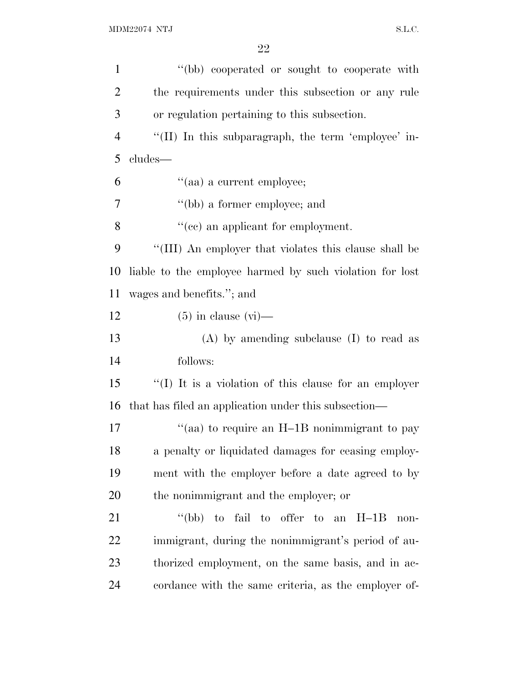| $\mathbf{1}$   | "(bb) cooperated or sought to cooperate with             |
|----------------|----------------------------------------------------------|
| $\overline{c}$ | the requirements under this subsection or any rule       |
| 3              | or regulation pertaining to this subsection.             |
| $\overline{4}$ | "(II) In this subparagraph, the term 'employee' in-      |
| 5              | cludes-                                                  |
| 6              | "(aa) a current employee;                                |
| 7              | "(bb) a former employee; and                             |
| 8              | "(cc) an applicant for employment.                       |
| 9              | "(III) An employer that violates this clause shall be    |
| 10             | liable to the employee harmed by such violation for lost |
| 11             | wages and benefits."; and                                |
| 12             | $(5)$ in clause $(vi)$ —                                 |
|                |                                                          |
|                | $(A)$ by amending subclause $(I)$ to read as             |
|                | follows:                                                 |
| 13<br>14<br>15 | "(I) It is a violation of this clause for an employer    |
| 16             | that has filed an application under this subsection—     |
| 17             | "(aa) to require an H-1B nonimmigrant to pay             |
| 18             | a penalty or liquidated damages for ceasing employ-      |
| 19             | ment with the employer before a date agreed to by        |
| 20             | the nonimmigrant and the employer; or                    |
| 21             | "(bb) to fail to offer to an $H-1B$<br>non-              |
| 22             | immigrant, during the nonimmigrant's period of au-       |
| 23             | thorized employment, on the same basis, and in ac-       |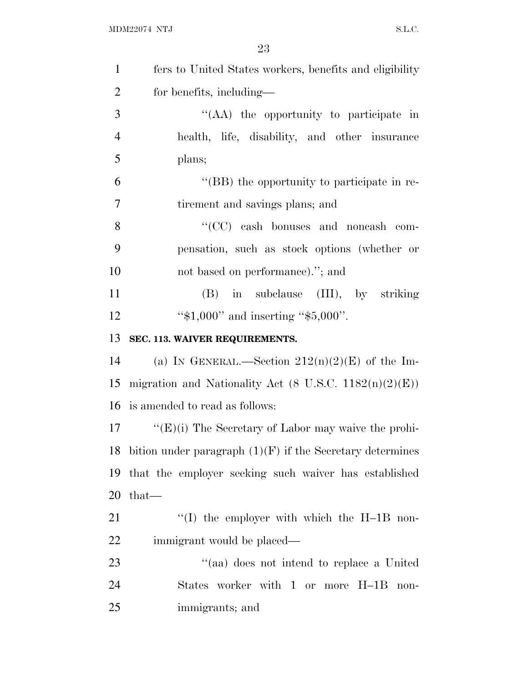| $\mathbf{1}$   | fers to United States workers, benefits and eligibility           |
|----------------|-------------------------------------------------------------------|
| $\overline{2}$ | for benefits, including—                                          |
| 3              | "(AA) the opportunity to participate in                           |
| $\overline{4}$ | health, life, disability, and other insurance                     |
| 5              | plans;                                                            |
| 6              | "(BB) the opportunity to participate in re-                       |
| $\tau$         | tirement and savings plans; and                                   |
| 8              | "(CC) cash bonuses and noncash com-                               |
| 9              | pensation, such as stock options (whether or                      |
| 10             | not based on performance)."; and                                  |
| 11             | $(B)$ in subclause $(III)$ , by striking                          |
| 12             | " $$1,000"$ and inserting " $$5,000"$ .                           |
| 13             | SEC. 113. WAIVER REQUIREMENTS.                                    |
| 14             | (a) IN GENERAL.—Section $212(n)(2)(E)$ of the Im-                 |
| 15             | migration and Nationality Act $(8 \text{ U.S.C. } 1182(n)(2)(E))$ |
| 16             | is amended to read as follows:                                    |
| 17             | " $(E)(i)$ The Secretary of Labor may waive the prohi-            |
|                | 18 bition under paragraph $(1)(F)$ if the Secretary determines    |
| 19             | that the employer seeking such waiver has established             |
| 20             | $that-$                                                           |
| 21             | $\cdot$ (I) the employer with which the H-1B non-                 |
| 22             | immigrant would be placed—                                        |
| 23             | "(aa) does not intend to replace a United                         |
| 24             | States worker with 1 or more H-1B<br>non-                         |
| 25             | immigrants; and                                                   |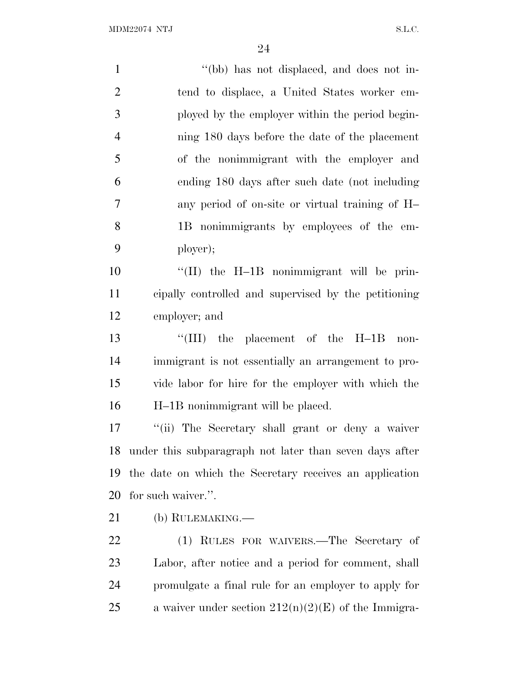1 ''(bb) has not displaced, and does not in- tend to displace, a United States worker em- ployed by the employer within the period begin- ning 180 days before the date of the placement of the nonimmigrant with the employer and ending 180 days after such date (not including any period of on-site or virtual training of H– 1B nonimmigrants by employees of the em- ployer); ''(II) the H–1B nonimmigrant will be prin- cipally controlled and supervised by the petitioning employer; and ''(III) the placement of the H–1B non- immigrant is not essentially an arrangement to pro- vide labor for hire for the employer with which the H–1B nonimmigrant will be placed. ''(ii) The Secretary shall grant or deny a waiver under this subparagraph not later than seven days after the date on which the Secretary receives an application for such waiver.''. (b) RULEMAKING.— (1) RULES FOR WAIVERS.—The Secretary of Labor, after notice and a period for comment, shall promulgate a final rule for an employer to apply for 25 a waiver under section  $212(n)(2)(E)$  of the Immigra-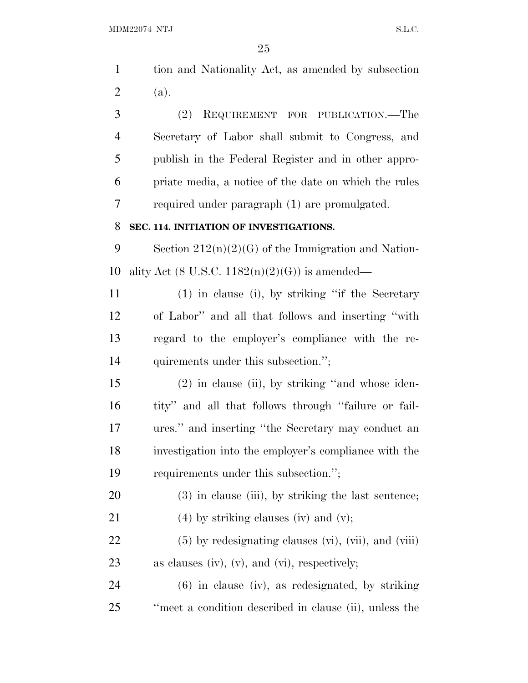|                | 25                                                    |
|----------------|-------------------------------------------------------|
| $\mathbf{1}$   | tion and Nationality Act, as amended by subsection    |
| $\overline{2}$ | (a).                                                  |
| 3              | REQUIREMENT FOR PUBLICATION.—The<br>(2)               |
| 4              | Secretary of Labor shall submit to Congress, and      |
| 5              | publish in the Federal Register and in other appro-   |
| 6              | priate media, a notice of the date on which the rules |
| 7              | required under paragraph (1) are promulgated.         |
| 8              | SEC. 114. INITIATION OF INVESTIGATIONS.               |
| 9              | Section $212(n)(2)(G)$ of the Immigration and Nation- |
| 10             | ality Act (8 U.S.C. $1182(n)(2)(G)$ ) is amended—     |
| 11             | $(1)$ in clause (i), by striking "if the Secretary    |
| 12             | of Labor" and all that follows and inserting "with    |
| 13             | regard to the employer's compliance with the re-      |
| 14             | quirements under this subsection.";                   |
| 15             | $(2)$ in clause (ii), by striking "and whose iden-    |
| 16             | tity" and all that follows through "failure or fail-  |
| 17             | ures." and inserting "the Secretary may conduct an    |
| 18             | investigation into the employer's compliance with the |
| 19             | requirements under this subsection.";                 |
| 20             | $(3)$ in clause (iii), by striking the last sentence; |
| 21             | $(4)$ by striking clauses (iv) and (v);               |

22 (5) by redesignating clauses (vi), (vii), and (viii) as clauses (iv), (v), and (vi), respectively;

 (6) in clause (iv), as redesignated, by striking ''meet a condition described in clause (ii), unless the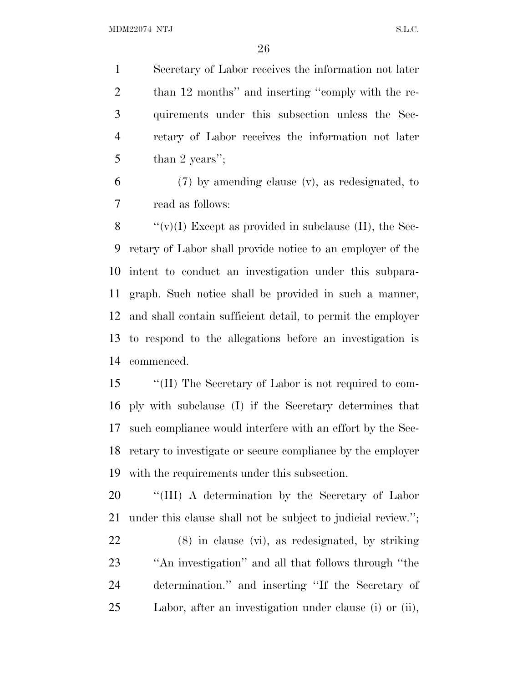Secretary of Labor receives the information not later 2 than 12 months" and inserting "comply with the re- quirements under this subsection unless the Sec- retary of Labor receives the information not later 5 than 2 years'';

 (7) by amending clause (v), as redesignated, to read as follows:

 $\langle \langle v \rangle (I)$  Except as provided in subclause (II), the Sec- retary of Labor shall provide notice to an employer of the intent to conduct an investigation under this subpara- graph. Such notice shall be provided in such a manner, and shall contain sufficient detail, to permit the employer to respond to the allegations before an investigation is commenced.

 ''(II) The Secretary of Labor is not required to com- ply with subclause (I) if the Secretary determines that such compliance would interfere with an effort by the Sec- retary to investigate or secure compliance by the employer with the requirements under this subsection.

20 "'(III) A determination by the Secretary of Labor under this clause shall not be subject to judicial review.'';

 (8) in clause (vi), as redesignated, by striking ''An investigation'' and all that follows through ''the determination.'' and inserting ''If the Secretary of Labor, after an investigation under clause (i) or (ii),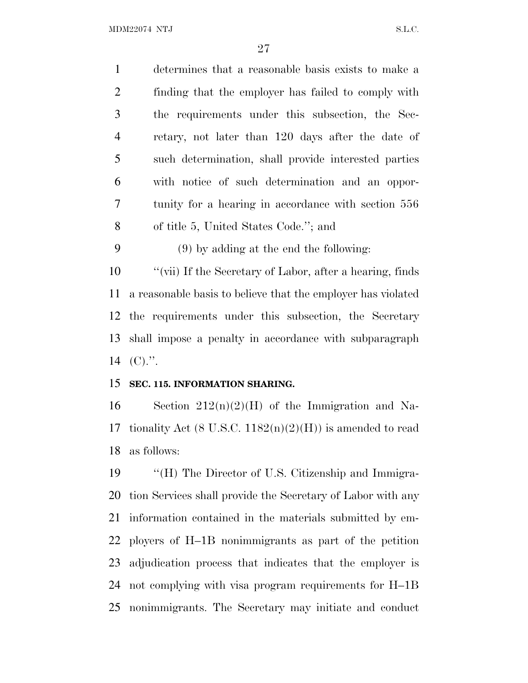| $\mathbf{1}$   | determines that a reasonable basis exists to make a          |
|----------------|--------------------------------------------------------------|
| $\overline{2}$ | finding that the employer has failed to comply with          |
| 3              | the requirements under this subsection, the Sec-             |
| $\overline{4}$ | retary, not later than 120 days after the date of            |
| 5              | such determination, shall provide interested parties         |
| 6              | with notice of such determination and an oppor-              |
| $\overline{7}$ | tunity for a hearing in accordance with section 556          |
| 8              | of title 5, United States Code."; and                        |
| 9              | $(9)$ by adding at the end the following:                    |
| 10             | "(vii) If the Secretary of Labor, after a hearing, finds     |
| 11             | a reasonable basis to believe that the employer has violated |
| 12             | the requirements under this subsection, the Secretary        |
| 13             | shall impose a penalty in accordance with subparagraph       |
| 14             | $(C).$ ".                                                    |
| 15             | SEC. 115. INFORMATION SHARING.                               |
| 16             | Section $212(n)(2)(H)$ of the Immigration and Na-            |
| 17             | tionality Act (8 U.S.C. $1182(n)(2)(H)$ ) is amended to read |
| 18             | as follows:                                                  |
| 19             | "(H) The Director of U.S. Citizenship and Immigra-           |
| 20             | tion Services shall provide the Secretary of Labor with any  |
| 21             | information contained in the materials submitted by em-      |
| 22             | ployers of H-1B nonimmigrants as part of the petition        |

 adjudication process that indicates that the employer is not complying with visa program requirements for H–1B nonimmigrants. The Secretary may initiate and conduct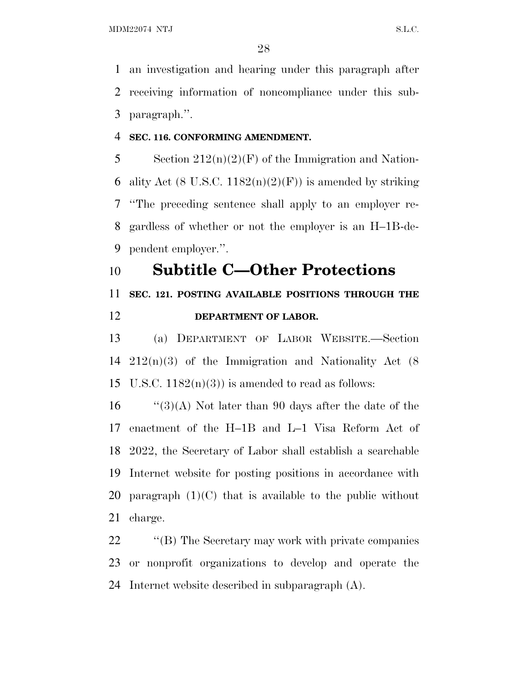an investigation and hearing under this paragraph after receiving information of noncompliance under this sub-paragraph.''.

#### **SEC. 116. CONFORMING AMENDMENT.**

5 Section  $212(n)(2)(F)$  of the Immigration and Nation-6 ality Act (8 U.S.C.  $1182(n)(2)(F)$ ) is amended by striking ''The preceding sentence shall apply to an employer re- gardless of whether or not the employer is an H–1B-de-pendent employer.''.

# **Subtitle C—Other Protections**

# **SEC. 121. POSTING AVAILABLE POSITIONS THROUGH THE DEPARTMENT OF LABOR.**

 (a) DEPARTMENT OF LABOR WEBSITE.—Section 212(n)(3) of the Immigration and Nationality Act (8 15 U.S.C.  $1182(n)(3)$  is amended to read as follows:

 $\frac{1}{3}(A)$  Not later than 90 days after the date of the enactment of the H–1B and L–1 Visa Reform Act of 2022, the Secretary of Labor shall establish a searchable Internet website for posting positions in accordance with 20 paragraph  $(1)(C)$  that is available to the public without charge.

22 ''(B) The Secretary may work with private companies or nonprofit organizations to develop and operate the Internet website described in subparagraph (A).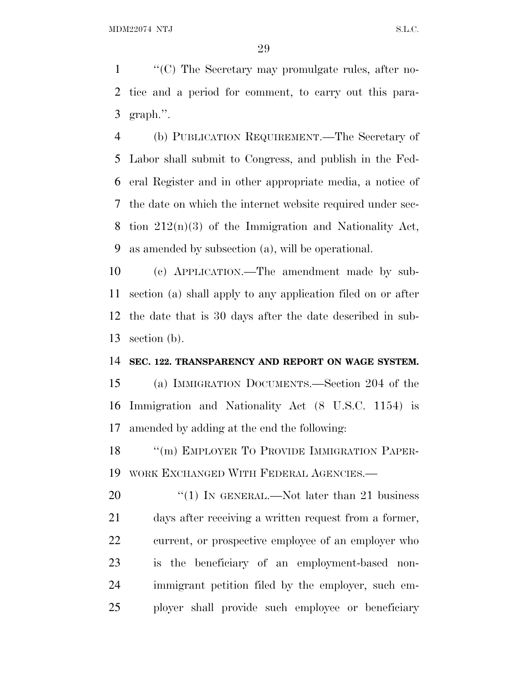''(C) The Secretary may promulgate rules, after no- tice and a period for comment, to carry out this para-graph.''.

 (b) PUBLICATION REQUIREMENT.—The Secretary of Labor shall submit to Congress, and publish in the Fed- eral Register and in other appropriate media, a notice of the date on which the internet website required under sec- tion 212(n)(3) of the Immigration and Nationality Act, as amended by subsection (a), will be operational.

 (c) APPLICATION.—The amendment made by sub- section (a) shall apply to any application filed on or after the date that is 30 days after the date described in sub-section (b).

#### **SEC. 122. TRANSPARENCY AND REPORT ON WAGE SYSTEM.**

 (a) IMMIGRATION DOCUMENTS.—Section 204 of the Immigration and Nationality Act (8 U.S.C. 1154) is amended by adding at the end the following:

18 "(m) EMPLOYER TO PROVIDE IMMIGRATION PAPER-WORK EXCHANGED WITH FEDERAL AGENCIES.—

20 "(1) IN GENERAL.—Not later than 21 business days after receiving a written request from a former, current, or prospective employee of an employer who is the beneficiary of an employment-based non- immigrant petition filed by the employer, such em-ployer shall provide such employee or beneficiary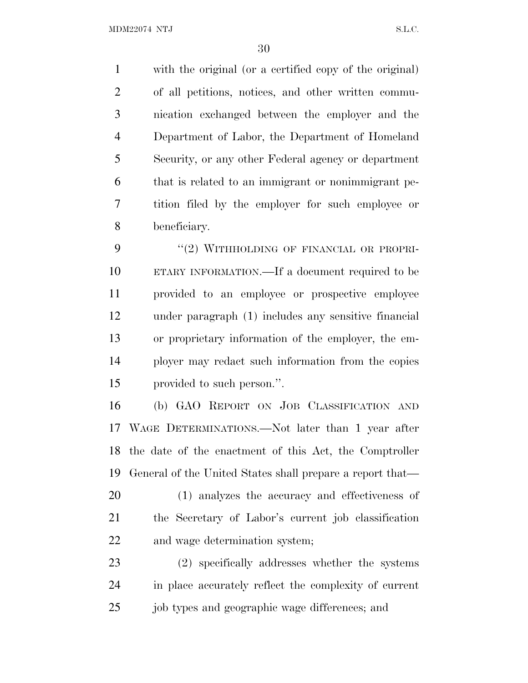with the original (or a certified copy of the original) of all petitions, notices, and other written commu- nication exchanged between the employer and the Department of Labor, the Department of Homeland Security, or any other Federal agency or department that is related to an immigrant or nonimmigrant pe- tition filed by the employer for such employee or beneficiary.

9 "(2) WITHHOLDING OF FINANCIAL OR PROPRI- ETARY INFORMATION.—If a document required to be provided to an employee or prospective employee under paragraph (1) includes any sensitive financial or proprietary information of the employer, the em- ployer may redact such information from the copies provided to such person.''.

 (b) GAO REPORT ON JOB CLASSIFICATION AND WAGE DETERMINATIONS.—Not later than 1 year after the date of the enactment of this Act, the Comptroller General of the United States shall prepare a report that—

 (1) analyzes the accuracy and effectiveness of the Secretary of Labor's current job classification and wage determination system;

 (2) specifically addresses whether the systems in place accurately reflect the complexity of current 25 job types and geographic wage differences; and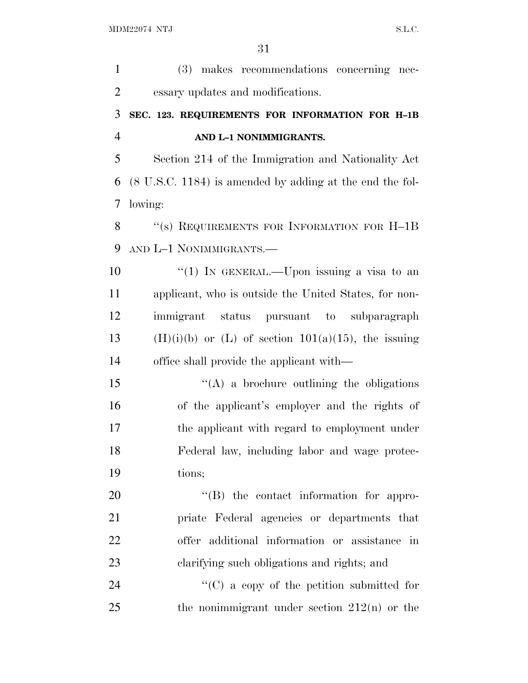| $\mathbf{1}$   | (3) makes recommendations concerning nec-                           |
|----------------|---------------------------------------------------------------------|
| $\overline{2}$ | essary updates and modifications.                                   |
| 3              | SEC. 123. REQUIREMENTS FOR INFORMATION FOR H-1B                     |
| $\overline{4}$ | AND L-1 NONIMMIGRANTS.                                              |
| 5              | Section 214 of the Immigration and Nationality Act                  |
| 6              | $(8 \text{ U.S.C. } 1184)$ is amended by adding at the end the fol- |
| 7              | lowing:                                                             |
| 8              | "(s) REQUIREMENTS FOR INFORMATION FOR H-1B                          |
| 9              | AND L-1 NONIMMIGRANTS.—                                             |
| 10             | "(1) IN GENERAL.—Upon issuing a visa to an                          |
| 11             | applicant, who is outside the United States, for non-               |
| 12             | immigrant status pursuant to subparagraph                           |
| 13             | $(H)(i)(b)$ or $(L)$ of section $101(a)(15)$ , the issuing          |
| 14             | office shall provide the applicant with—                            |
| 15             | $\lq\lq$ a brochure outlining the obligations                       |
| 16             | of the applicant's employer and the rights of                       |
| 17             | the applicant with regard to employment under                       |
| 18             | Federal law, including labor and wage protec-                       |
| 19             | tions;                                                              |
| 20             | "(B) the contact information for appro-                             |
| 21             | priate Federal agencies or departments that                         |
| 22             | offer additional information or assistance in                       |
| 23             | clarifying such obligations and rights; and                         |
| 24             | $\lq\lq$ (C) a copy of the petition submitted for                   |
| 25             | the nonimmigrant under section $212(n)$ or the                      |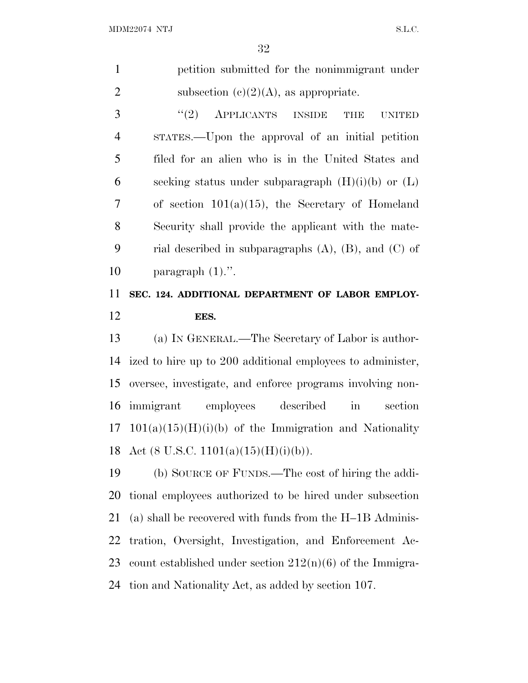| $\mathbf{1}$   | petition submitted for the nonimmigrant under                   |
|----------------|-----------------------------------------------------------------|
| $\mathfrak{2}$ | subsection (c) $(2)(A)$ , as appropriate.                       |
| 3              | (2)<br>APPLICANTS INSIDE<br><b>THE</b><br><b>UNITED</b>         |
| $\overline{4}$ | STATES.—Upon the approval of an initial petition                |
| 5              | filed for an alien who is in the United States and              |
| 6              | seeking status under subparagraph $(H)(i)(b)$ or $(L)$          |
| 7              | of section $101(a)(15)$ , the Secretary of Homeland             |
| 8              | Security shall provide the applicant with the mate-             |
| 9              | rial described in subparagraphs $(A)$ , $(B)$ , and $(C)$ of    |
| 10             | paragraph $(1)$ .".                                             |
| 11             | SEC. 124. ADDITIONAL DEPARTMENT OF LABOR EMPLOY-                |
| 12             | EES.                                                            |
|                |                                                                 |
| 13             | (a) IN GENERAL.—The Secretary of Labor is author-               |
| 14             | ized to hire up to 200 additional employees to administer,      |
| 15             | oversee, investigate, and enforce programs involving non-       |
| 16             | immigrant employees described<br>$\operatorname{in}$<br>section |
| 17             | $101(a)(15)(H)(i)(b)$ of the Immigration and Nationality        |
|                | 18 Act (8 U.S.C. 1101(a)(15)(H)(i)(b)).                         |
| 19             | (b) SOURCE OF FUNDS.—The cost of hiring the addi-               |
| 20             | tional employees authorized to be hired under subsection        |
| 21             | (a) shall be recovered with funds from the $H-1B$ Adminis-      |
| 22             | tration, Oversight, Investigation, and Enforcement Ac-          |
| 23             | count established under section $212(n)(6)$ of the Immigra-     |

tion and Nationality Act, as added by section 107.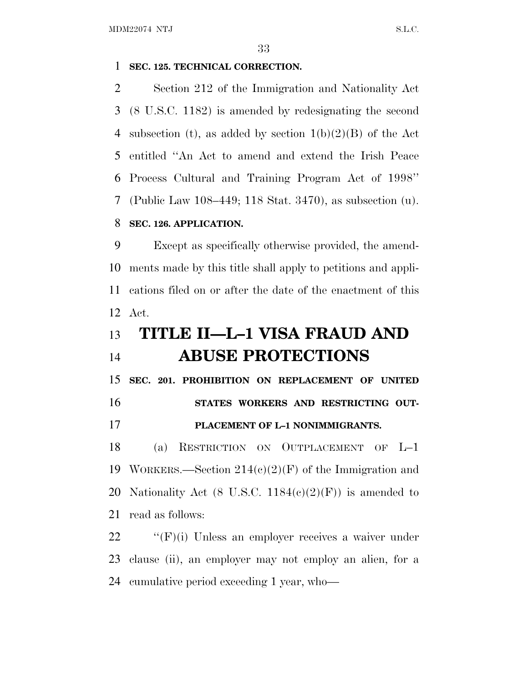### **SEC. 125. TECHNICAL CORRECTION.**

 Section 212 of the Immigration and Nationality Act (8 U.S.C. 1182) is amended by redesignating the second 4 subsection (t), as added by section  $1(b)(2)(B)$  of the Act entitled ''An Act to amend and extend the Irish Peace Process Cultural and Training Program Act of 1998'' (Public Law 108–449; 118 Stat. 3470), as subsection (u). **SEC. 126. APPLICATION.**

 Except as specifically otherwise provided, the amend- ments made by this title shall apply to petitions and appli- cations filed on or after the date of the enactment of this Act.

# **TITLE II—L–1 VISA FRAUD AND ABUSE PROTECTIONS**

 **SEC. 201. PROHIBITION ON REPLACEMENT OF UNITED STATES WORKERS AND RESTRICTING OUT-**

#### **PLACEMENT OF L–1 NONIMMIGRANTS.**

 (a) RESTRICTION ON OUTPLACEMENT OF L–1 19 WORKERS.—Section  $214(c)(2)(F)$  of the Immigration and 20 Nationality Act (8 U.S.C.  $1184(c)(2)(F)$ ) is amended to read as follows:

22 "'(F)(i) Unless an employer receives a waiver under clause (ii), an employer may not employ an alien, for a cumulative period exceeding 1 year, who—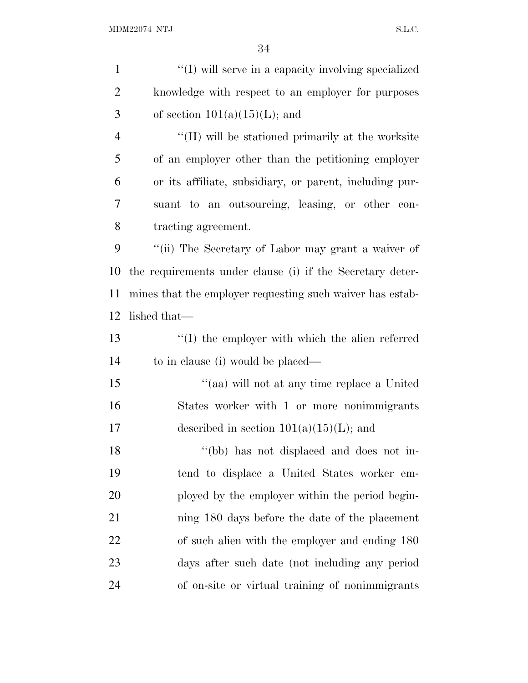| $\mathbf{1}$   | "(I) will serve in a capacity involving specialized       |
|----------------|-----------------------------------------------------------|
| $\overline{2}$ | knowledge with respect to an employer for purposes        |
| 3              | of section $101(a)(15)(L)$ ; and                          |
| $\overline{4}$ | "(II) will be stationed primarily at the worksite         |
| 5              | of an employer other than the petitioning employer        |
| 6              | or its affiliate, subsidiary, or parent, including pur-   |
| 7              | suant to an outsourcing, leasing, or other con-           |
| 8              | tracting agreement.                                       |
| 9              | "(ii) The Secretary of Labor may grant a waiver of        |
| 10             | the requirements under clause (i) if the Secretary deter- |
| 11             | mines that the employer requesting such waiver has estab- |
| 12             | lished that—                                              |
| 13             | "(I) the employer with which the alien referred           |
| 14             | to in clause (i) would be placed—                         |
| 15             | "(aa) will not at any time replace a United               |
| 16             | States worker with 1 or more nonimmigrants                |
| 17             | described in section $101(a)(15)(L)$ ; and                |
| 18             | "(bb) has not displaced and does not in-                  |
| 19             | tend to displace a United States worker em-               |
| 20             | ployed by the employer within the period begin-           |
| 21             | ning 180 days before the date of the placement            |
| 22             | of such alien with the employer and ending 180            |
| 23             | days after such date (not including any period            |
| 24             | of on-site or virtual training of nonimmigrants           |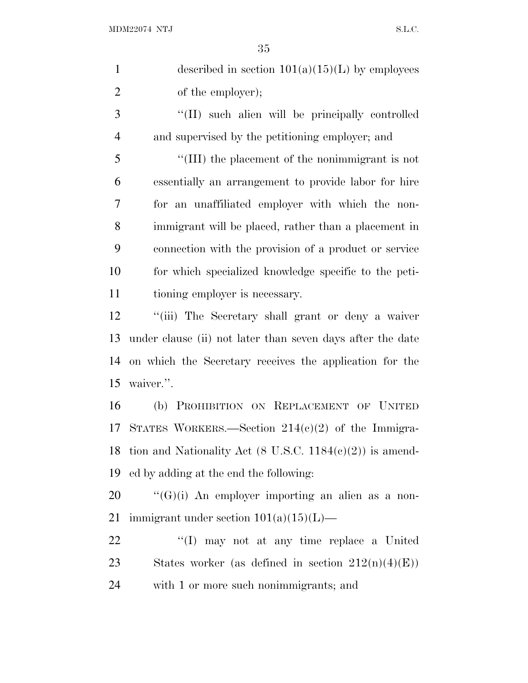| $\mathbf{1}$   | described in section $101(a)(15)(L)$ by employees                   |
|----------------|---------------------------------------------------------------------|
| $\overline{2}$ | of the employer);                                                   |
| 3              | "(II) such alien will be principally controlled                     |
| $\overline{4}$ | and supervised by the petitioning employer; and                     |
| 5              | "(III) the placement of the nonimmigrant is not                     |
| 6              | essentially an arrangement to provide labor for hire                |
| 7              | for an unaffiliated employer with which the non-                    |
| 8              | immigrant will be placed, rather than a placement in                |
| 9              | connection with the provision of a product or service               |
| 10             | for which specialized knowledge specific to the peti-               |
| 11             | tioning employer is necessary.                                      |
| 12             | "(iii) The Secretary shall grant or deny a waiver                   |
| 13             | under clause (ii) not later than seven days after the date          |
| 14             | on which the Secretary receives the application for the             |
| 15             | waiver.".                                                           |
| 16             | (b) PROHIBITION ON REPLACEMENT OF UNITED                            |
| 17             | STATES WORKERS.—Section $214(c)(2)$ of the Immigra-                 |
| 18             | tion and Nationality Act $(8 \text{ U.S.C. } 1184(e)(2))$ is amend- |
| 19             | ed by adding at the end the following:                              |
| 20             | $\lq\lq(G)(i)$ An employer importing an alien as a non-             |
| 21             | immigrant under section $101(a)(15)(L)$ —                           |
| <u>22</u>      | "(I) may not at any time replace a United                           |
| 23             | States worker (as defined in section $212(n)(4)(E)$ )               |
| 24             | with 1 or more such nonimmigrants; and                              |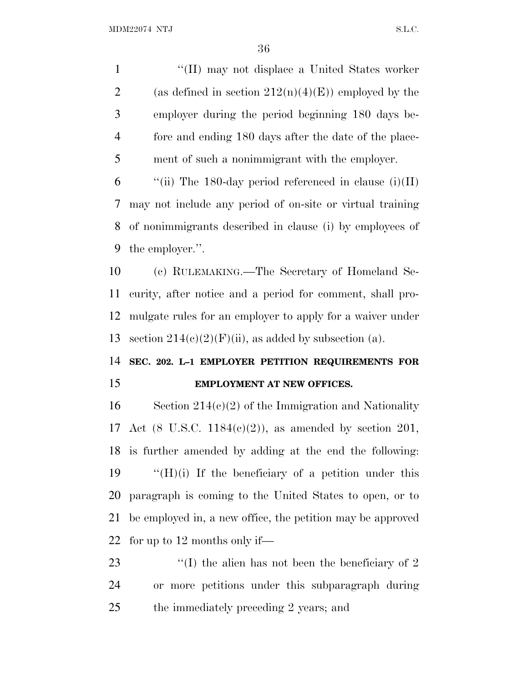1 ''(II) may not displace a United States worker 2 (as defined in section  $212(n)(4)(E)$ ) employed by the employer during the period beginning 180 days be- fore and ending 180 days after the date of the place-ment of such a nonimmigrant with the employer.

 $\qquad$  "(ii) The 180-day period referenced in clause (i)(II) may not include any period of on-site or virtual training of nonimmigrants described in clause (i) by employees of the employer.''.

 (c) RULEMAKING.—The Secretary of Homeland Se- curity, after notice and a period for comment, shall pro- mulgate rules for an employer to apply for a waiver under 13 section  $214(c)(2)(F)(ii)$ , as added by subsection (a).

# **SEC. 202. L–1 EMPLOYER PETITION REQUIREMENTS FOR EMPLOYMENT AT NEW OFFICES.**

 Section 214(c)(2) of the Immigration and Nationality Act (8 U.S.C. 1184(c)(2)), as amended by section 201, is further amended by adding at the end the following:  $\langle H \rangle$  (i) If the beneficiary of a petition under this paragraph is coming to the United States to open, or to be employed in, a new office, the petition may be approved for up to 12 months only if—

23 ''(I) the alien has not been the beneficiary of 2 or more petitions under this subparagraph during the immediately preceding 2 years; and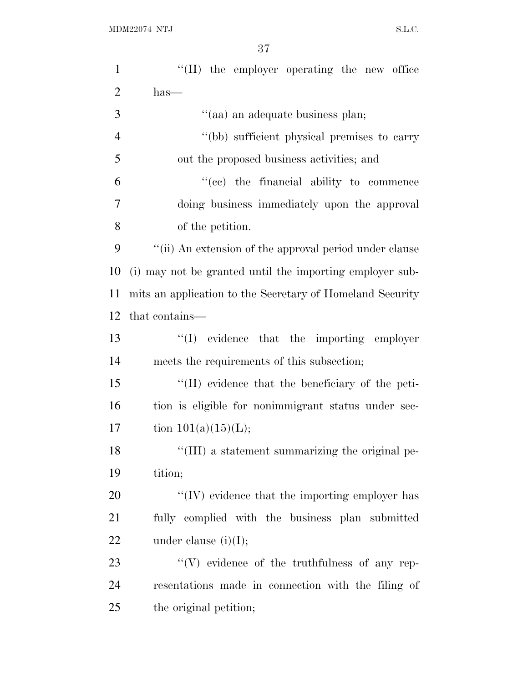| $\mathbf{1}$   | "(II) the employer operating the new office               |
|----------------|-----------------------------------------------------------|
| $\overline{2}$ | $has-$                                                    |
| 3              | "(aa) an adequate business plan;                          |
| $\overline{4}$ | "(bb) sufficient physical premises to carry               |
| 5              | out the proposed business activities; and                 |
| 6              | "(ce) the financial ability to commence                   |
| 7              | doing business immediately upon the approval              |
| 8              | of the petition.                                          |
| 9              | "(ii) An extension of the approval period under clause    |
| 10             | (i) may not be granted until the importing employer sub-  |
| 11             | mits an application to the Secretary of Homeland Security |
| 12             | that contains—                                            |
| 13             | $\lq\lq$ evidence that the importing employer             |
| 14             | meets the requirements of this subsection;                |
| 15             | "(II) evidence that the beneficiary of the peti-          |
| 16             | tion is eligible for nonimmigrant status under sec-       |
| 17             | tion $101(a)(15)(L);$                                     |
| 18             | "(III) a statement summarizing the original pe-           |
| 19             | tition;                                                   |
| 20             | $\lq\lq$ (IV) evidence that the importing employer has    |
| 21             | fully complied with the business plan submitted           |
| 22             | under clause $(i)(I);$                                    |
| 23             | $\lq\lq(V)$ evidence of the truthfulness of any rep-      |
| 24             | resentations made in connection with the filing of        |
| 25             | the original petition;                                    |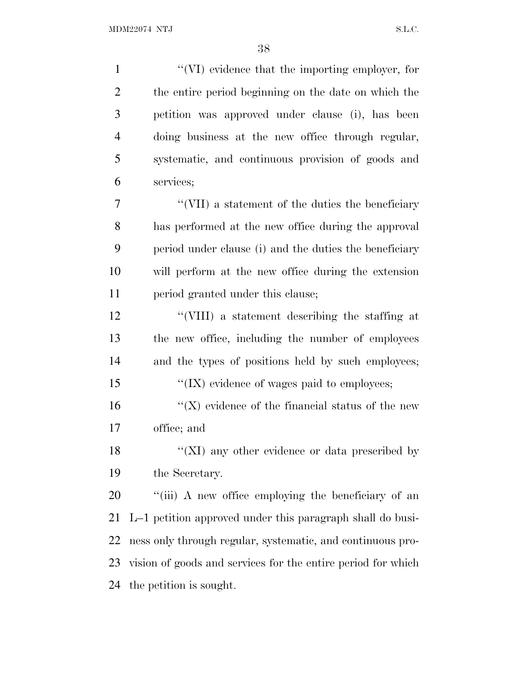$\gamma$  (VI) evidence that the importing employer, for the entire period beginning on the date on which the petition was approved under clause (i), has been doing business at the new office through regular, systematic, and continuous provision of goods and services; ''(VII) a statement of the duties the beneficiary has performed at the new office during the approval period under clause (i) and the duties the beneficiary will perform at the new office during the extension period granted under this clause; ''(VIII) a statement describing the staffing at the new office, including the number of employees and the types of positions held by such employees;  $\cdot$  ''(IX) evidence of wages paid to employees;  $\langle K \rangle$  evidence of the financial status of the new office; and 18 "(XI) any other evidence or data prescribed by the Secretary. 20 "(iii) A new office employing the beneficiary of an L–1 petition approved under this paragraph shall do busi- ness only through regular, systematic, and continuous pro- vision of goods and services for the entire period for which the petition is sought.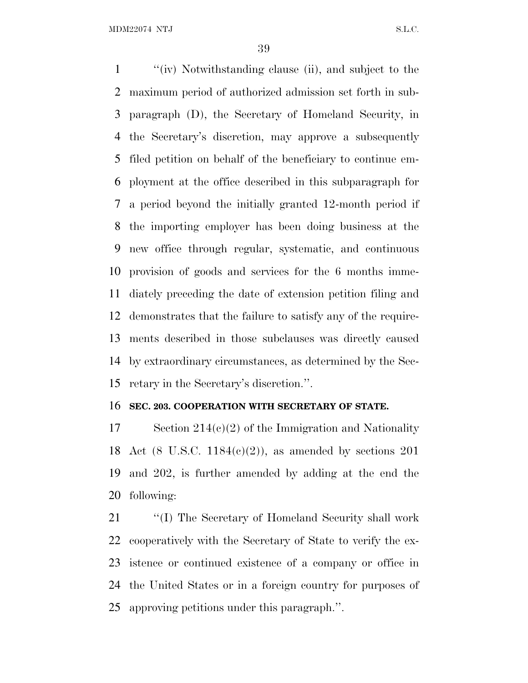''(iv) Notwithstanding clause (ii), and subject to the maximum period of authorized admission set forth in sub- paragraph (D), the Secretary of Homeland Security, in the Secretary's discretion, may approve a subsequently filed petition on behalf of the beneficiary to continue em- ployment at the office described in this subparagraph for a period beyond the initially granted 12-month period if the importing employer has been doing business at the new office through regular, systematic, and continuous provision of goods and services for the 6 months imme- diately preceding the date of extension petition filing and demonstrates that the failure to satisfy any of the require- ments described in those subclauses was directly caused by extraordinary circumstances, as determined by the Sec-retary in the Secretary's discretion.''.

#### **SEC. 203. COOPERATION WITH SECRETARY OF STATE.**

 Section 214(c)(2) of the Immigration and Nationality Act (8 U.S.C. 1184(c)(2)), as amended by sections 201 and 202, is further amended by adding at the end the following:

21 ""(I) The Secretary of Homeland Security shall work cooperatively with the Secretary of State to verify the ex- istence or continued existence of a company or office in the United States or in a foreign country for purposes of approving petitions under this paragraph.''.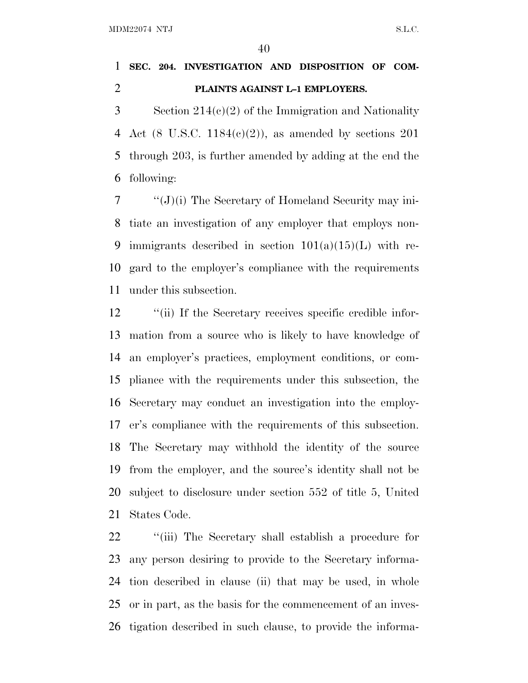# **SEC. 204. INVESTIGATION AND DISPOSITION OF COM-PLAINTS AGAINST L–1 EMPLOYERS.**

 Section 214(c)(2) of the Immigration and Nationality 4 Act (8 U.S.C.  $1184(c)(2)$ ), as amended by sections 201 through 203, is further amended by adding at the end the following:

 ''(J)(i) The Secretary of Homeland Security may ini- tiate an investigation of any employer that employs non-9 immigrants described in section  $101(a)(15)(L)$  with re- gard to the employer's compliance with the requirements under this subsection.

12 ''(ii) If the Secretary receives specific credible infor- mation from a source who is likely to have knowledge of an employer's practices, employment conditions, or com- pliance with the requirements under this subsection, the Secretary may conduct an investigation into the employ- er's compliance with the requirements of this subsection. The Secretary may withhold the identity of the source from the employer, and the source's identity shall not be subject to disclosure under section 552 of title 5, United States Code.

22 "(iii) The Secretary shall establish a procedure for any person desiring to provide to the Secretary informa- tion described in clause (ii) that may be used, in whole or in part, as the basis for the commencement of an inves-tigation described in such clause, to provide the informa-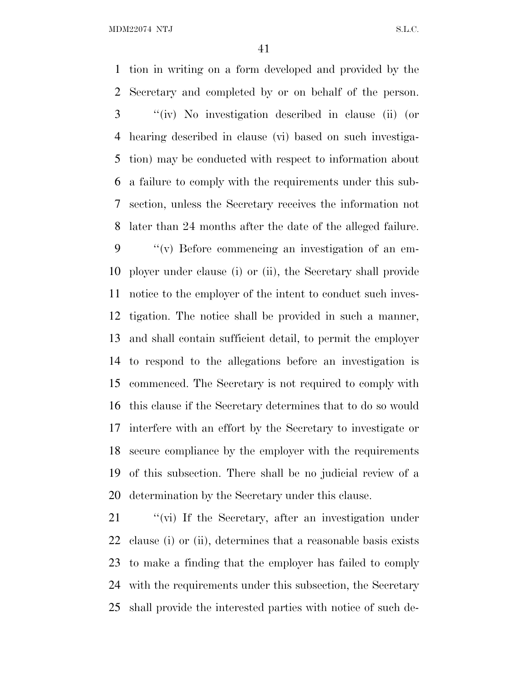tion in writing on a form developed and provided by the Secretary and completed by or on behalf of the person. ''(iv) No investigation described in clause (ii) (or hearing described in clause (vi) based on such investiga- tion) may be conducted with respect to information about a failure to comply with the requirements under this sub- section, unless the Secretary receives the information not later than 24 months after the date of the alleged failure. ''(v) Before commencing an investigation of an em- ployer under clause (i) or (ii), the Secretary shall provide notice to the employer of the intent to conduct such inves- tigation. The notice shall be provided in such a manner, and shall contain sufficient detail, to permit the employer to respond to the allegations before an investigation is commenced. The Secretary is not required to comply with this clause if the Secretary determines that to do so would interfere with an effort by the Secretary to investigate or secure compliance by the employer with the requirements of this subsection. There shall be no judicial review of a determination by the Secretary under this clause.

21 "(vi) If the Secretary, after an investigation under clause (i) or (ii), determines that a reasonable basis exists to make a finding that the employer has failed to comply with the requirements under this subsection, the Secretary shall provide the interested parties with notice of such de-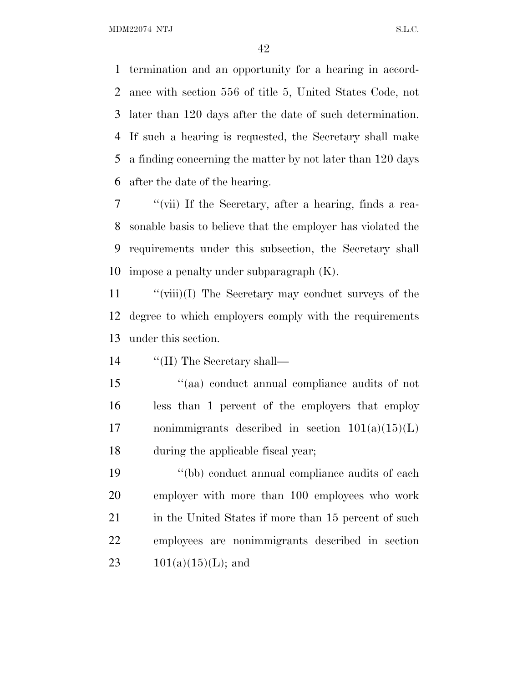termination and an opportunity for a hearing in accord- ance with section 556 of title 5, United States Code, not later than 120 days after the date of such determination. If such a hearing is requested, the Secretary shall make a finding concerning the matter by not later than 120 days after the date of the hearing.

 ''(vii) If the Secretary, after a hearing, finds a rea- sonable basis to believe that the employer has violated the requirements under this subsection, the Secretary shall impose a penalty under subparagraph (K).

 ''(viii)(I) The Secretary may conduct surveys of the degree to which employers comply with the requirements under this section.

14  $\frac{1}{\text{Im} \Sigma}$  The Secretary shall—

 ''(aa) conduct annual compliance audits of not less than 1 percent of the employers that employ 17 nonimmigrants described in section  $101(a)(15)(L)$ during the applicable fiscal year;

 ''(bb) conduct annual compliance audits of each employer with more than 100 employees who work 21 in the United States if more than 15 percent of such employees are nonimmigrants described in section  $101(a)(15)(L)$ ; and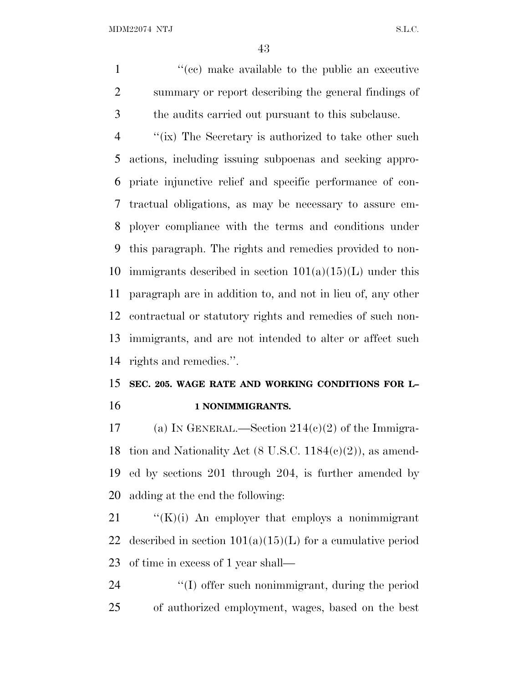1  $\lq$  (cc) make available to the public an executive summary or report describing the general findings of the audits carried out pursuant to this subclause.

 ''(ix) The Secretary is authorized to take other such actions, including issuing subpoenas and seeking appro- priate injunctive relief and specific performance of con- tractual obligations, as may be necessary to assure em- ployer compliance with the terms and conditions under this paragraph. The rights and remedies provided to non-10 immigrants described in section  $101(a)(15)(L)$  under this paragraph are in addition to, and not in lieu of, any other contractual or statutory rights and remedies of such non- immigrants, and are not intended to alter or affect such rights and remedies.''.

# **SEC. 205. WAGE RATE AND WORKING CONDITIONS FOR L– 1 NONIMMIGRANTS.**

17 (a) IN GENERAL.—Section  $214(c)(2)$  of the Immigra- tion and Nationality Act (8 U.S.C. 1184(c)(2)), as amend- ed by sections 201 through 204, is further amended by adding at the end the following:

 ''(K)(i) An employer that employs a nonimmigrant 22 described in section  $101(a)(15)(L)$  for a cumulative period of time in excess of 1 year shall—

24 ''(I) offer such nonimmigrant, during the period of authorized employment, wages, based on the best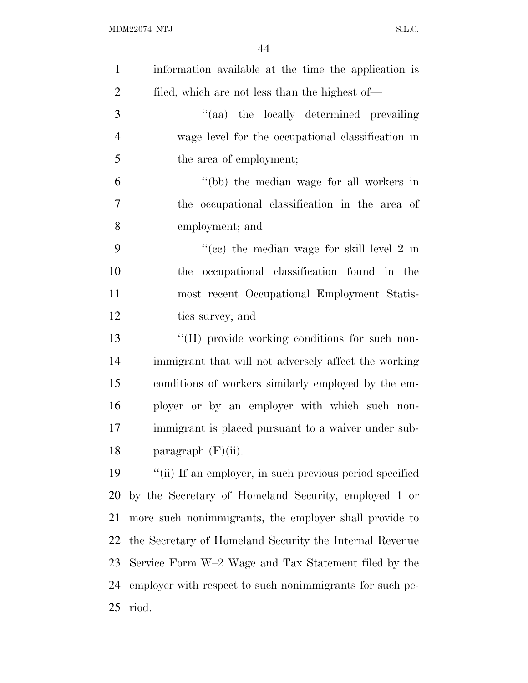| $\mathbf{1}$   | information available at the time the application is     |
|----------------|----------------------------------------------------------|
| $\overline{2}$ | filed, which are not less than the highest of—           |
| 3              | "(aa) the locally determined prevailing                  |
| $\overline{4}$ | wage level for the occupational classification in        |
| 5              | the area of employment;                                  |
| 6              | "(bb) the median wage for all workers in                 |
| 7              | the occupational classification in the area of           |
| 8              | employment; and                                          |
| 9              | "(cc) the median wage for skill level 2 in               |
| 10             | occupational classification found in the<br>the          |
| 11             | most recent Occupational Employment Statis-              |
| 12             | tics survey; and                                         |
| 13             | "(II) provide working conditions for such non-           |
| 14             | immigrant that will not adversely affect the working     |
| 15             | conditions of workers similarly employed by the em-      |
| 16             | ployer or by an employer with which such non-            |
| 17             | immigrant is placed pursuant to a waiver under sub-      |
| 18             | paragraph $(F)(ii)$ .                                    |
| 19             | "(ii) If an employer, in such previous period specified  |
| 20             | by the Secretary of Homeland Security, employed 1 or     |
| 21             | more such nonimmigrants, the employer shall provide to   |
| 22             | the Secretary of Homeland Security the Internal Revenue  |
| 23             | Service Form W-2 Wage and Tax Statement filed by the     |
| 24             | employer with respect to such nonimmigrants for such pe- |
| 25             | riod.                                                    |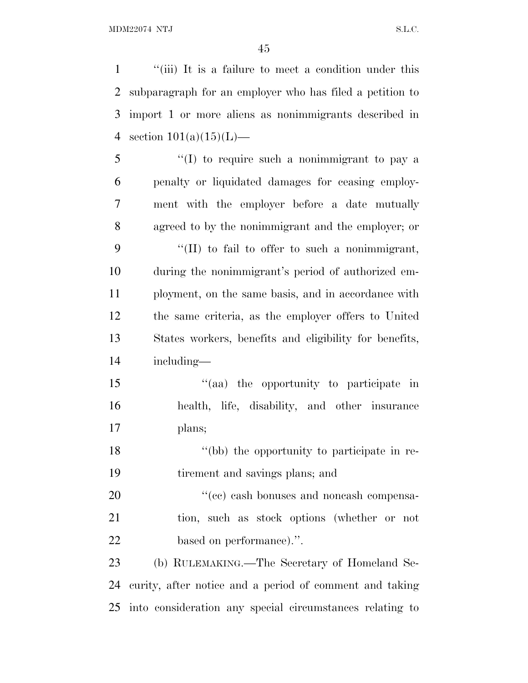''(iii) It is a failure to meet a condition under this subparagraph for an employer who has filed a petition to import 1 or more aliens as nonimmigrants described in 4 section  $101(a)(15)(L)$ — ''(I) to require such a nonimmigrant to pay a penalty or liquidated damages for ceasing employ- ment with the employer before a date mutually agreed to by the nonimmigrant and the employer; or ''(II) to fail to offer to such a nonimmigrant, during the nonimmigrant's period of authorized em- ployment, on the same basis, and in accordance with the same criteria, as the employer offers to United States workers, benefits and eligibility for benefits, including—  $\frac{1}{2}$  (aa) the opportunity to participate in health, life, disability, and other insurance plans; 18 ''(bb) the opportunity to participate in re- tirement and savings plans; and  $\frac{u^2}{c}$  cash bonuses and noncash compensa- tion, such as stock options (whether or not based on performance).''. (b) RULEMAKING.—The Secretary of Homeland Se- curity, after notice and a period of comment and taking into consideration any special circumstances relating to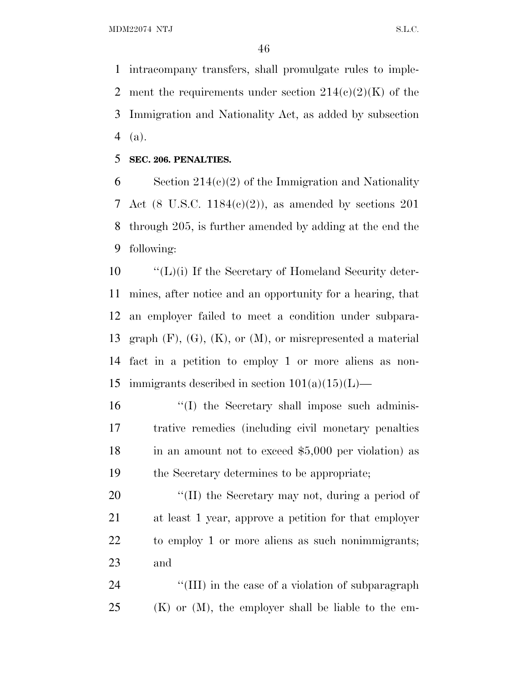intracompany transfers, shall promulgate rules to imple-2 ment the requirements under section  $214(c)(2)(K)$  of the Immigration and Nationality Act, as added by subsection (a).

**SEC. 206. PENALTIES.**

 Section 214(c)(2) of the Immigration and Nationality Act (8 U.S.C. 1184(c)(2)), as amended by sections 201 through 205, is further amended by adding at the end the following:

 ''(L)(i) If the Secretary of Homeland Security deter- mines, after notice and an opportunity for a hearing, that an employer failed to meet a condition under subpara-13 graph  $(F)$ ,  $(G)$ ,  $(K)$ , or  $(M)$ , or misrepresented a material fact in a petition to employ 1 or more aliens as non-15 immigrants described in section  $101(a)(15)(L)$ —

16 ''(I) the Secretary shall impose such adminis- trative remedies (including civil monetary penalties 18 in an amount not to exceed \$5,000 per violation) as the Secretary determines to be appropriate;

 $\frac{1}{2}$  (II) the Secretary may not, during a period of at least 1 year, approve a petition for that employer to employ 1 or more aliens as such nonimmigrants; and

24 ''(III) in the case of a violation of subparagraph (K) or (M), the employer shall be liable to the em-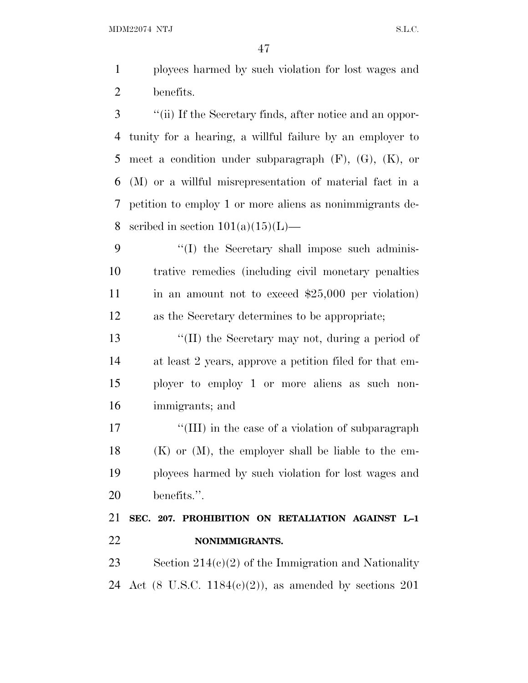ployees harmed by such violation for lost wages and benefits.

 ''(ii) If the Secretary finds, after notice and an oppor- tunity for a hearing, a willful failure by an employer to 5 meet a condition under subparagraph  $(F)$ ,  $(G)$ ,  $(K)$ , or (M) or a willful misrepresentation of material fact in a petition to employ 1 or more aliens as nonimmigrants de-8 scribed in section  $101(a)(15)(L)$ —

9 "(I) the Secretary shall impose such adminis- trative remedies (including civil monetary penalties 11 in an amount not to exceed \$25,000 per violation) as the Secretary determines to be appropriate;

 ''(II) the Secretary may not, during a period of at least 2 years, approve a petition filed for that em- ployer to employ 1 or more aliens as such non-immigrants; and

17 ''(III) in the case of a violation of subparagraph (K) or (M), the employer shall be liable to the em- ployees harmed by such violation for lost wages and benefits.''.

# **SEC. 207. PROHIBITION ON RETALIATION AGAINST L–1 NONIMMIGRANTS.**

23 Section  $214(c)(2)$  of the Immigration and Nationality Act (8 U.S.C. 1184(c)(2)), as amended by sections 201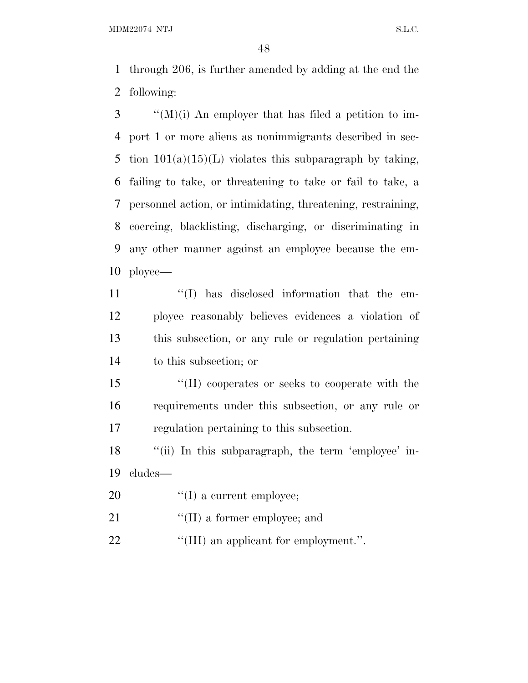through 206, is further amended by adding at the end the following:

 ''(M)(i) An employer that has filed a petition to im- port 1 or more aliens as nonimmigrants described in sec-5 tion  $101(a)(15)(L)$  violates this subparagraph by taking, failing to take, or threatening to take or fail to take, a personnel action, or intimidating, threatening, restraining, coercing, blacklisting, discharging, or discriminating in any other manner against an employee because the em-ployee—

 $\langle (I) \rangle$  has disclosed information that the em- ployee reasonably believes evidences a violation of this subsection, or any rule or regulation pertaining to this subsection; or

 ''(II) cooperates or seeks to cooperate with the requirements under this subsection, or any rule or regulation pertaining to this subsection.

18 "(ii) In this subparagraph, the term 'employee' in-cludes—

20  $\text{``(I) a current employee;}$ 

21  $\frac{1}{2}$  (II) a former employee; and

22  $\frac{1}{2}$  (III) an applicant for employment.".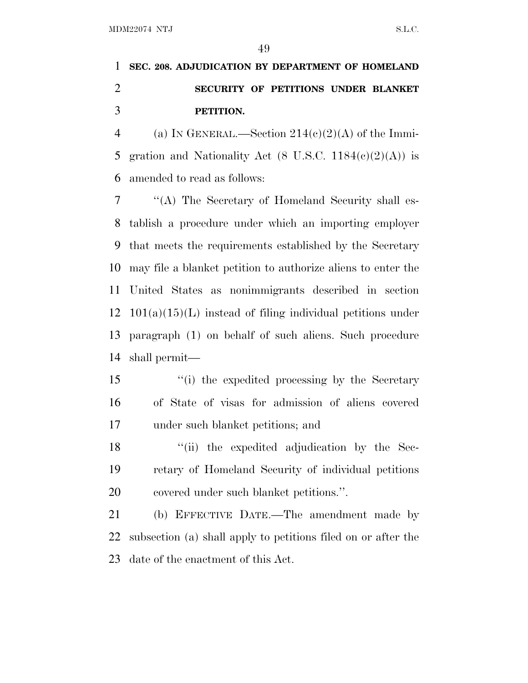# **SEC. 208. ADJUDICATION BY DEPARTMENT OF HOMELAND SECURITY OF PETITIONS UNDER BLANKET PETITION.**

4 (a) IN GENERAL.—Section  $214(c)(2)(A)$  of the Immi-5 gration and Nationality Act  $(8 \text{ U.S.C. } 1184(\text{e})(2)(\text{A}))$  is amended to read as follows:

 ''(A) The Secretary of Homeland Security shall es- tablish a procedure under which an importing employer that meets the requirements established by the Secretary may file a blanket petition to authorize aliens to enter the United States as nonimmigrants described in section  $12 \quad 101(a)(15)(L)$  instead of filing individual petitions under paragraph (1) on behalf of such aliens. Such procedure shall permit—

 ''(i) the expedited processing by the Secretary of State of visas for admission of aliens covered under such blanket petitions; and

 ''(ii) the expedited adjudication by the Sec- retary of Homeland Security of individual petitions covered under such blanket petitions.''.

 (b) EFFECTIVE DATE.—The amendment made by subsection (a) shall apply to petitions filed on or after the date of the enactment of this Act.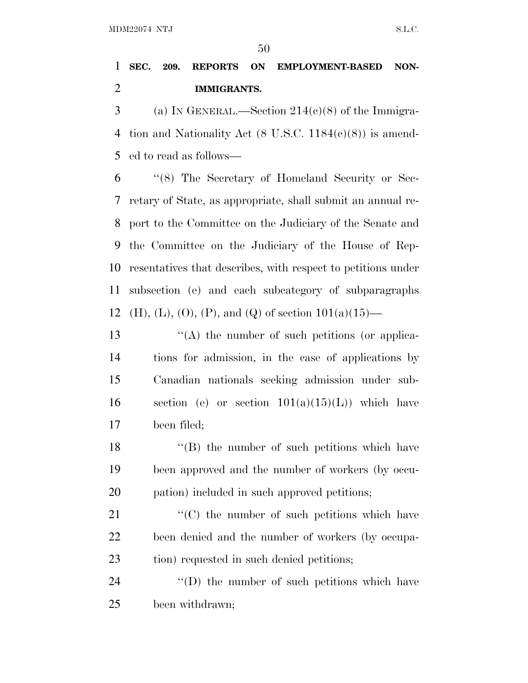# **SEC. 209. REPORTS ON EMPLOYMENT-BASED NON-IMMIGRANTS.**

3 (a) IN GENERAL.—Section  $214(c)(8)$  of the Immigra- tion and Nationality Act (8 U.S.C. 1184(c)(8)) is amend-ed to read as follows—

 ''(8) The Secretary of Homeland Security or Sec- retary of State, as appropriate, shall submit an annual re- port to the Committee on the Judiciary of the Senate and the Committee on the Judiciary of the House of Rep- resentatives that describes, with respect to petitions under subsection (e) and each subcategory of subparagraphs 12 (H), (L), (O), (P), and (Q) of section  $101(a)(15)$ —

13 ''(A) the number of such petitions (or applica- tions for admission, in the case of applications by Canadian nationals seeking admission under sub-16 section (e) or section  $101(a)(15)(L)$  which have been filed;

 ''(B) the number of such petitions which have been approved and the number of workers (by occu-pation) included in such approved petitions;

21  $\langle ^{\prime}(C) \rangle$  the number of such petitions which have been denied and the number of workers (by occupa-23 tion) requested in such denied petitions;

24  $\langle\text{(D)}\rangle$  the number of such petitions which have been withdrawn;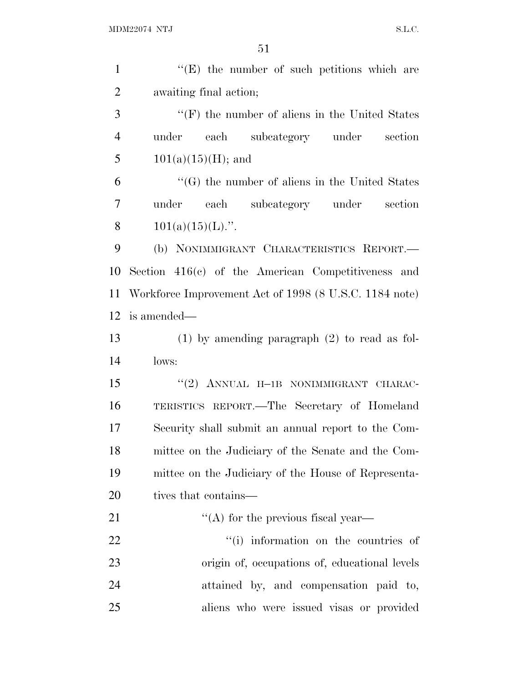| $\mathbf{1}$   | $\lq\lq(E)$ the number of such petitions which are     |
|----------------|--------------------------------------------------------|
| $\overline{2}$ | awaiting final action;                                 |
| 3              | $\lq\lq(F)$ the number of aliens in the United States  |
| $\overline{4}$ | under each subcategory under<br>section                |
| 5              | $101(a)(15)(H)$ ; and                                  |
| 6              | "(G) the number of aliens in the United States         |
| 7              | under each subcategory under section                   |
| 8              | $101(a)(15)(L)$ .".                                    |
| 9              | (b) NONIMMIGRANT CHARACTERISTICS REPORT.-              |
| 10             | Section $416(c)$ of the American Competitiveness and   |
| 11             | Workforce Improvement Act of 1998 (8 U.S.C. 1184 note) |
| 12             | is amended—                                            |
| 13             | $(1)$ by amending paragraph $(2)$ to read as fol-      |
| 14             | lows:                                                  |
| 15             | "(2) ANNUAL H-1B NONIMMIGRANT CHARAC-                  |
| 16             | TERISTICS REPORT.—The Secretary of Homeland            |
| 17             | Security shall submit an annual report to the Com-     |
| 18             | mittee on the Judiciary of the Senate and the Com-     |
| 19             | mittee on the Judiciary of the House of Representa-    |
| 20             | tives that contains—                                   |
| 21             | $\lq\lq$ for the previous fiscal year—                 |
| 22             | "(i) information on the countries of                   |
| 23             | origin of, occupations of, educational levels          |
| 24             | attained by, and compensation paid to,                 |
| 25             | aliens who were issued visas or provided               |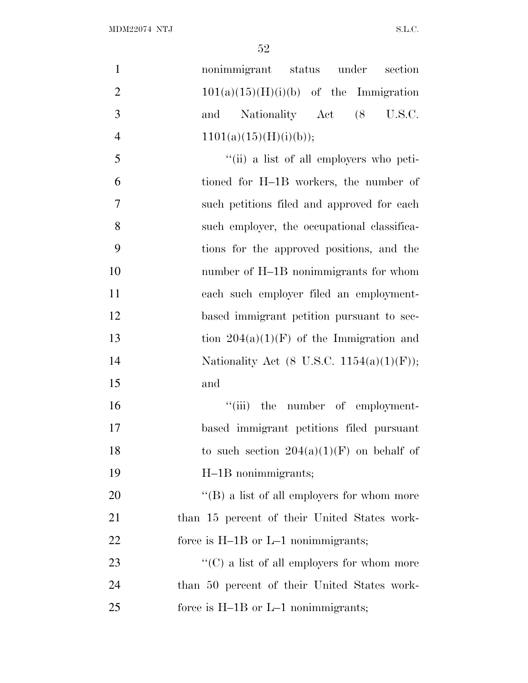| $\mathbf{1}$   | nonimmigrant status under<br>section               |
|----------------|----------------------------------------------------|
| $\overline{2}$ | $101(a)(15)(H)(i)(b)$ of the Immigration           |
| 3              | Nationality Act (8<br>U.S.C.<br>and                |
| $\overline{4}$ | 1101(a)(15)(H)(i)(b));                             |
| 5              | "(ii) a list of all employers who peti-            |
| 6              | tioned for H-1B workers, the number of             |
| $\tau$         | such petitions filed and approved for each         |
| 8              | such employer, the occupational classifica-        |
| 9              | tions for the approved positions, and the          |
| 10             | number of H-1B nonimmigrants for whom              |
| 11             | each such employer filed an employment-            |
| 12             | based immigrant petition pursuant to sec-          |
| 13             | tion $204(a)(1)(F)$ of the Immigration and         |
| 14             | Nationality Act (8 U.S.C. 1154(a)(1)(F));          |
| 15             | and                                                |
| 16             | "(iii) the number of employment-                   |
| 17             | based immigrant petitions filed pursuant           |
| 18             | to such section $204(a)(1)(F)$ on behalf of        |
| 19             | H-1B nonimmigrants;                                |
| 20             | $\lq\lq (B)$ a list of all employers for whom more |
| 21             | than 15 percent of their United States work-       |
| 22             | force is $H-1B$ or $L-1$ nonimmigrants;            |
| 23             | " $(C)$ a list of all employers for whom more      |
| 24             | than 50 percent of their United States work-       |
| 25             | force is $H-1B$ or $L-1$ nonimmigrants;            |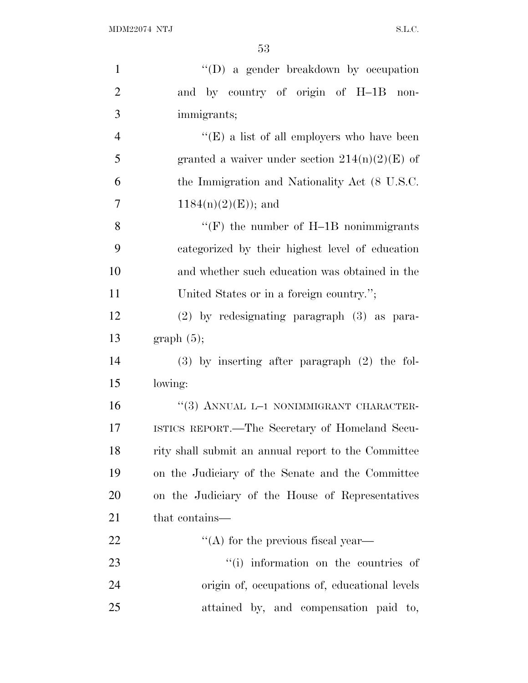| $\mathbf{1}$   | "(D) a gender breakdown by occupation               |
|----------------|-----------------------------------------------------|
| $\overline{2}$ | and by country of origin of H-1B non-               |
| 3              | immigrants;                                         |
| $\overline{4}$ | "(E) a list of all employers who have been          |
| 5              | granted a waiver under section $214(n)(2)(E)$ of    |
| 6              | the Immigration and Nationality Act (8 U.S.C.       |
| $\overline{7}$ | $1184(n)(2)(E)$ ; and                               |
| 8              | "(F) the number of $H-1B$ nonimmigrants             |
| 9              | categorized by their highest level of education     |
| 10             | and whether such education was obtained in the      |
| 11             | United States or in a foreign country.";            |
| 12             | $(2)$ by redesignating paragraph $(3)$ as para-     |
| 13             | graph(5);                                           |
| 14             | $(3)$ by inserting after paragraph $(2)$ the fol-   |
| 15             | lowing:                                             |
| 16             | "(3) ANNUAL L-1 NONIMMIGRANT CHARACTER-             |
| 17             | ISTICS REPORT.—The Secretary of Homeland Secu-      |
| 18             | rity shall submit an annual report to the Committee |
| 19             | on the Judiciary of the Senate and the Committee    |
| 20             | on the Judiciary of the House of Representatives    |
| 21             | that contains—                                      |
| 22             | $\lq\lq$ for the previous fiscal year—              |
| 23             | "(i) information on the countries of                |
| 24             | origin of, occupations of, educational levels       |
| 25             | attained by, and compensation paid to,              |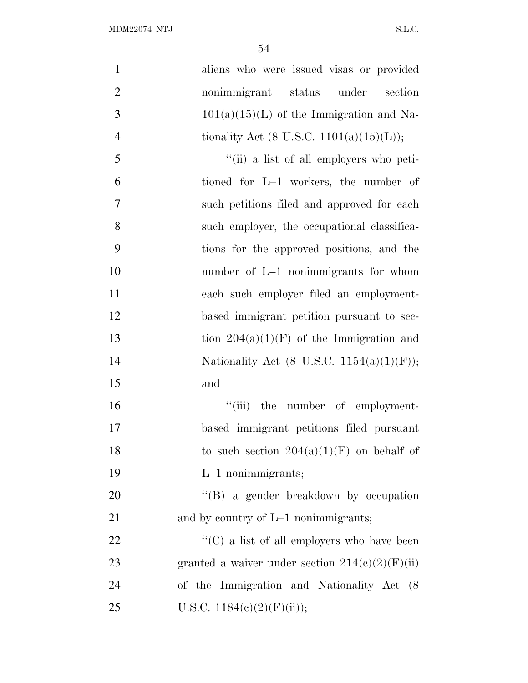| $\mathbf{1}$   | aliens who were issued visas or provided          |
|----------------|---------------------------------------------------|
| $\overline{2}$ | nonimmigrant status under<br>section              |
| 3              | $101(a)(15)(L)$ of the Immigration and Na-        |
| $\overline{4}$ | tionality Act (8 U.S.C. 1101(a)(15)(L));          |
| 5              | "(ii) a list of all employers who peti-           |
| 6              | tioned for L-1 workers, the number of             |
| 7              | such petitions filed and approved for each        |
| 8              | such employer, the occupational classifica-       |
| 9              | tions for the approved positions, and the         |
| 10             | number of L-1 nonimmigrants for whom              |
| 11             | each such employer filed an employment-           |
| 12             | based immigrant petition pursuant to sec-         |
| 13             | tion $204(a)(1)(F)$ of the Immigration and        |
| 14             | Nationality Act (8 U.S.C. 1154(a)(1)(F));         |
| 15             | and                                               |
| 16             | "(iii) the number of employment-                  |
| 17             | based immigrant petitions filed pursuant          |
| 18             | to such section $204(a)(1)(F)$ on behalf of       |
| 19             | $L-1$ nonimmigrants;                              |
| 20             | "(B) a gender breakdown by occupation             |
| 21             | and by country of L-1 nonimmigrants;              |
| 22             | " $(C)$ a list of all employers who have been     |
| 23             | granted a waiver under section $214(c)(2)(F)(ii)$ |
| 24             | of the Immigration and Nationality Act (8)        |
| 25             | U.S.C. $1184(e)(2)(F)(ii)$ ;                      |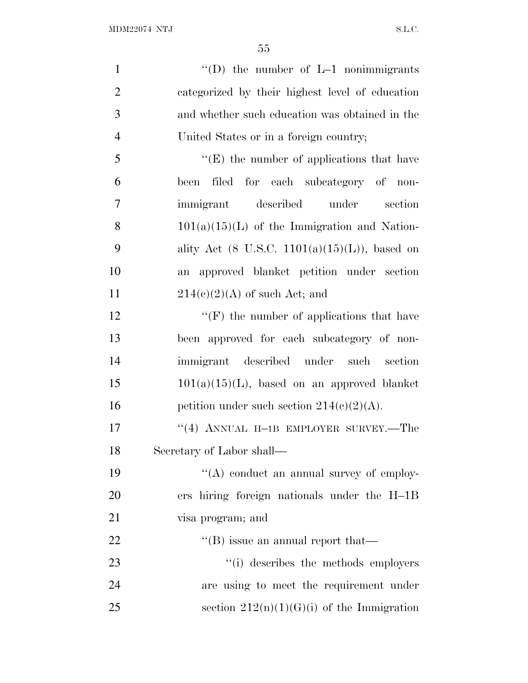| $\mathbf{1}$   | "(D) the number of $L-1$ nonimmigrants                    |
|----------------|-----------------------------------------------------------|
| $\overline{2}$ | categorized by their highest level of education           |
| 3              | and whether such education was obtained in the            |
| $\overline{4}$ | United States or in a foreign country;                    |
| 5              | "(E) the number of applications that have                 |
| 6              | been filed for each subcategory of non-                   |
| 7              | immigrant described under<br>section                      |
| 8              | $101(a)(15)(L)$ of the Immigration and Nation-            |
| 9              | ality Act $(8 \text{ U.S.C. } 1101(a)(15)(L))$ , based on |
| 10             | approved blanket petition under section<br>an             |
| 11             | $214(c)(2)(A)$ of such Act; and                           |
| 12             | $\lq\lq(F)$ the number of applications that have          |
| 13             | been approved for each subcategory of non-                |
| 14             | immigrant described under such section                    |
| 15             | $101(a)(15)(L)$ , based on an approved blanket            |
| 16             | petition under such section $214(c)(2)(A)$ .              |
| 17             | "(4) ANNUAL H-1B EMPLOYER SURVEY.—The                     |
| 18             | Secretary of Labor shall—                                 |
| 19             | "(A) conduct an annual survey of employ-                  |
| 20             | ers hiring foreign nationals under the H-1B               |
| 21             | visa program; and                                         |
| 22             | $\lq\lq$ (B) issue an annual report that—                 |
| 23             | "(i) describes the methods employers                      |
| 24             | are using to meet the requirement under                   |
| 25             | section $212(n)(1)(G)(i)$ of the Immigration              |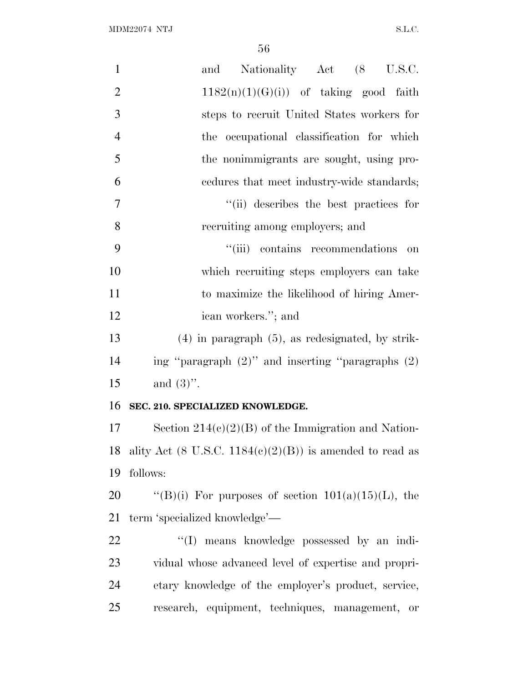| $\mathbf{1}$   | and Nationality Act (8 U.S.C.                                  |
|----------------|----------------------------------------------------------------|
| $\mathbf{2}$   | $1182(n)(1)(G)(i)$ of taking good faith                        |
| 3              | steps to recruit United States workers for                     |
| $\overline{4}$ | the occupational classification for which                      |
| 5              | the nonimmigrants are sought, using pro-                       |
| 6              | cedures that meet industry-wide standards;                     |
| 7              | "(ii) describes the best practices for                         |
| 8              | recruiting among employers; and                                |
| 9              | "(iii) contains recommendations<br>on                          |
| 10             | which recruiting steps employers can take                      |
| 11             | to maximize the likelihood of hiring Amer-                     |
| 12             | ican workers."; and                                            |
| 13             | $(4)$ in paragraph $(5)$ , as redesignated, by strik-          |
| 14             | ing "paragraph $(2)$ " and inserting "paragraphs $(2)$         |
| 15             | and $(3)$ ".                                                   |
| 16             | SEC. 210. SPECIALIZED KNOWLEDGE.                               |
| 17             | Section $214(c)(2)(B)$ of the Immigration and Nation-          |
|                | 18 ality Act (8 U.S.C. $1184(c)(2)(B)$ ) is amended to read as |
| 19             | follows:                                                       |
| 20             | "(B)(i) For purposes of section $101(a)(15)(L)$ , the          |
| 21             | term 'specialized knowledge'-                                  |
| 22             | "(I) means knowledge possessed by an indi-                     |
| 23             | vidual whose advanced level of expertise and propri-           |
| 24             | etary knowledge of the employer's product, service,            |
| 25             | research, equipment, techniques, management, or                |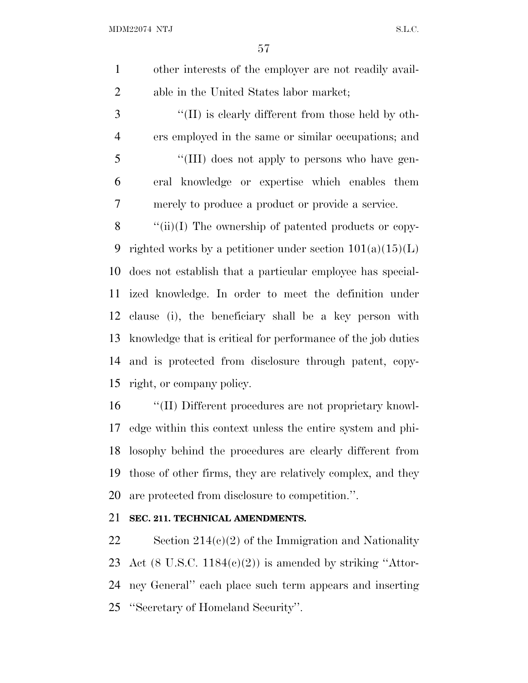other interests of the employer are not readily avail-able in the United States labor market;

3 "(II) is clearly different from those held by oth- ers employed in the same or similar occupations; and 5 "(III) does not apply to persons who have gen- eral knowledge or expertise which enables them merely to produce a product or provide a service.

8 "(ii)(I) The ownership of patented products or copy-9 righted works by a petitioner under section  $101(a)(15)(L)$  does not establish that a particular employee has special- ized knowledge. In order to meet the definition under clause (i), the beneficiary shall be a key person with knowledge that is critical for performance of the job duties and is protected from disclosure through patent, copy-right, or company policy.

 ''(II) Different procedures are not proprietary knowl- edge within this context unless the entire system and phi- losophy behind the procedures are clearly different from those of other firms, they are relatively complex, and they are protected from disclosure to competition.''.

## **SEC. 211. TECHNICAL AMENDMENTS.**

22 Section  $214(c)(2)$  of the Immigration and Nationality 23 Act  $(8 \text{ U.S.C. } 1184(c)(2))$  is amended by striking "Attor- ney General'' each place such term appears and inserting ''Secretary of Homeland Security''.